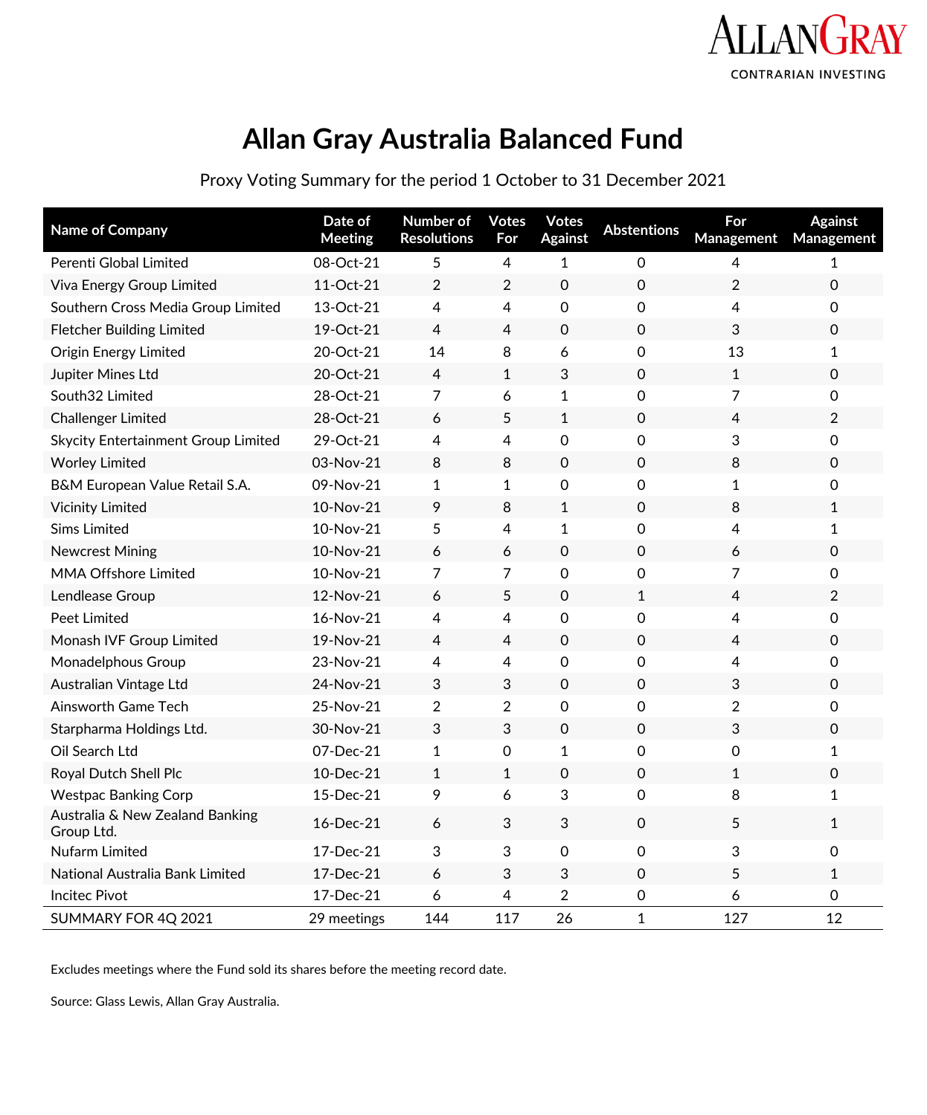

## **Allan Gray Australia Balanced Fund**

Proxy Voting Summary for the period 1 October to 31 December 2021

| Name of Company                               | Date of<br><b>Meeting</b> | Number of<br><b>Resolutions</b> | <b>Votes</b><br>For | <b>Votes</b><br><b>Against</b> | <b>Abstentions</b>  | For<br>Management | <b>Against</b><br>Management |
|-----------------------------------------------|---------------------------|---------------------------------|---------------------|--------------------------------|---------------------|-------------------|------------------------------|
| Perenti Global Limited                        | 08-Oct-21                 | 5                               | 4                   | 1                              | 0                   | 4                 | 1                            |
| Viva Energy Group Limited                     | 11-Oct-21                 | $\overline{2}$                  | $\overline{2}$      | $\mathsf{O}\xspace$            | $\mathsf{O}\xspace$ | $\overline{2}$    | $\mathsf{O}\xspace$          |
| Southern Cross Media Group Limited            | 13-Oct-21                 | 4                               | 4                   | 0                              | 0                   | $\overline{4}$    | 0                            |
| <b>Fletcher Building Limited</b>              | 19-Oct-21                 | 4                               | $\overline{4}$      | $\mathsf{O}\xspace$            | 0                   | 3                 | $\mathsf{O}\xspace$          |
| <b>Origin Energy Limited</b>                  | 20-Oct-21                 | 14                              | 8                   | 6                              | 0                   | 13                | $\mathbf{1}$                 |
| Jupiter Mines Ltd                             | 20-Oct-21                 | 4                               | $\mathbf{1}$        | 3                              | $\Omega$            | $\mathbf{1}$      | 0                            |
| South32 Limited                               | 28-Oct-21                 | 7                               | 6                   | $\mathbf{1}$                   | 0                   | 7                 | 0                            |
| <b>Challenger Limited</b>                     | 28-Oct-21                 | 6                               | 5                   | $\mathbf{1}$                   | 0                   | 4                 | $\overline{2}$               |
| Skycity Entertainment Group Limited           | 29-Oct-21                 | 4                               | 4                   | 0                              | 0                   | 3                 | 0                            |
| <b>Worley Limited</b>                         | 03-Nov-21                 | 8                               | 8                   | 0                              | $\mathsf{O}\xspace$ | 8                 | 0                            |
| B&M European Value Retail S.A.                | 09-Nov-21                 | $\mathbf{1}$                    | $\mathbf{1}$        | 0                              | 0                   | $\mathbf{1}$      | 0                            |
| <b>Vicinity Limited</b>                       | 10-Nov-21                 | 9                               | 8                   | 1                              | $\mathsf{O}$        | 8                 | 1                            |
| <b>Sims Limited</b>                           | 10-Nov-21                 | 5                               | 4                   | 1                              | 0                   | $\overline{4}$    | $\mathbf{1}$                 |
| <b>Newcrest Mining</b>                        | 10-Nov-21                 | 6                               | 6                   | 0                              | 0                   | 6                 | 0                            |
| MMA Offshore Limited                          | 10-Nov-21                 | 7                               | $\overline{7}$      | 0                              | 0                   | 7                 | 0                            |
| Lendlease Group                               | 12-Nov-21                 | 6                               | 5                   | $\Omega$                       | 1                   | $\overline{4}$    | $\overline{2}$               |
| <b>Peet Limited</b>                           | 16-Nov-21                 | 4                               | 4                   | 0                              | 0                   | 4                 | 0                            |
| Monash IVF Group Limited                      | 19-Nov-21                 | 4                               | $\overline{4}$      | $\mathsf{O}\xspace$            | 0                   | $\overline{4}$    | $\mathsf{O}\xspace$          |
| Monadelphous Group                            | 23-Nov-21                 | 4                               | 4                   | 0                              | 0                   | $\overline{4}$    | 0                            |
| Australian Vintage Ltd                        | 24-Nov-21                 | 3                               | 3                   | $\mathsf{O}\xspace$            | 0                   | 3                 | 0                            |
| Ainsworth Game Tech                           | 25-Nov-21                 | $\overline{2}$                  | $\overline{2}$      | 0                              | 0                   | $\overline{2}$    | 0                            |
| Starpharma Holdings Ltd.                      | 30-Nov-21                 | 3                               | 3                   | $\mathsf{O}\xspace$            | $\mathsf{O}$        | 3                 | 0                            |
| Oil Search Ltd                                | 07-Dec-21                 | $\mathbf{1}$                    | 0                   | 1                              | $\Omega$            | 0                 | 1                            |
| Royal Dutch Shell Plc                         | 10-Dec-21                 | $\mathbf{1}$                    | $\mathbf{1}$        | 0                              | $\mathsf{O}$        | $\mathbf{1}$      | 0                            |
| <b>Westpac Banking Corp</b>                   | 15-Dec-21                 | 9                               | 6                   | 3                              | 0                   | 8                 | $\mathbf{1}$                 |
| Australia & New Zealand Banking<br>Group Ltd. | 16-Dec-21                 | 6                               | 3                   | 3                              | $\mathsf{O}$        | 5                 | $\mathbf{1}$                 |
| Nufarm Limited                                | 17-Dec-21                 | 3                               | 3                   | 0                              | 0                   | 3                 | 0                            |
| National Australia Bank Limited               | 17-Dec-21                 | 6                               | 3                   | 3                              | $\mathsf{O}$        | 5                 | $\mathbf{1}$                 |
| <b>Incitec Pivot</b>                          | 17-Dec-21                 | 6                               | 4                   | $\overline{2}$                 | 0                   | 6                 | 0                            |
| SUMMARY FOR 4Q 2021                           | 29 meetings               | 144                             | 117                 | 26                             | $\mathbf 1$         | 127               | 12                           |

Excludes meetings where the Fund sold its shares before the meeting record date.

Source: Glass Lewis, Allan Gray Australia.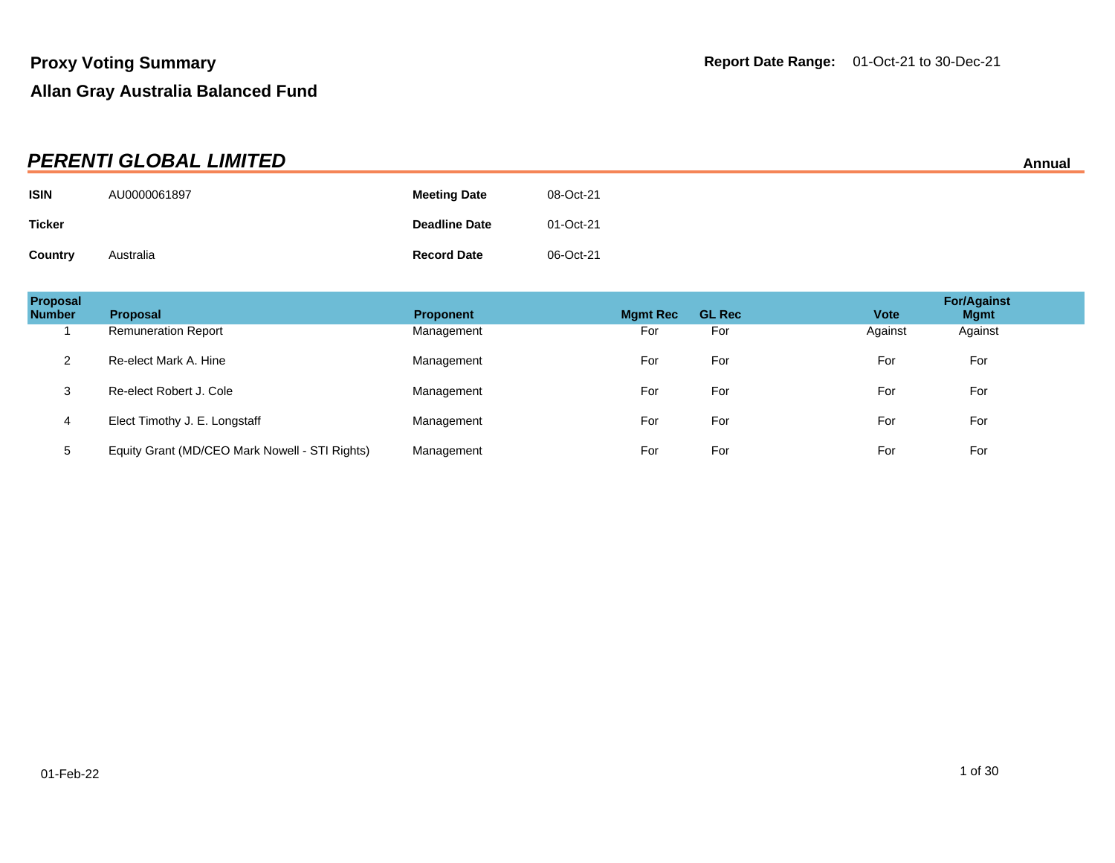|               | <b>PERENTI GLOBAL LIMITED</b> |                      |           | Annual |
|---------------|-------------------------------|----------------------|-----------|--------|
| <b>ISIN</b>   | AU0000061897                  | <b>Meeting Date</b>  | 08-Oct-21 |        |
| <b>Ticker</b> |                               | <b>Deadline Date</b> | 01-Oct-21 |        |
| Country       | Australia                     | <b>Record Date</b>   | 06-Oct-21 |        |

| Proposal<br><b>Number</b> | <b>Proposal</b>                                | <b>Proponent</b> | <b>Mgmt Rec</b> | <b>GL Rec</b> | <b>Vote</b> | <b>For/Against</b><br><b>Mgmt</b> |
|---------------------------|------------------------------------------------|------------------|-----------------|---------------|-------------|-----------------------------------|
|                           | <b>Remuneration Report</b>                     | Management       | For             | For           | Against     | Against                           |
| $\overline{2}$            | Re-elect Mark A. Hine                          | Management       | For             | For           | For         | For                               |
| 3                         | Re-elect Robert J. Cole                        | Management       | For             | For           | For         | For                               |
| 4                         | Elect Timothy J. E. Longstaff                  | Management       | For             | For           | For         | For                               |
| 5                         | Equity Grant (MD/CEO Mark Nowell - STI Rights) | Management       | For             | For           | For         | For                               |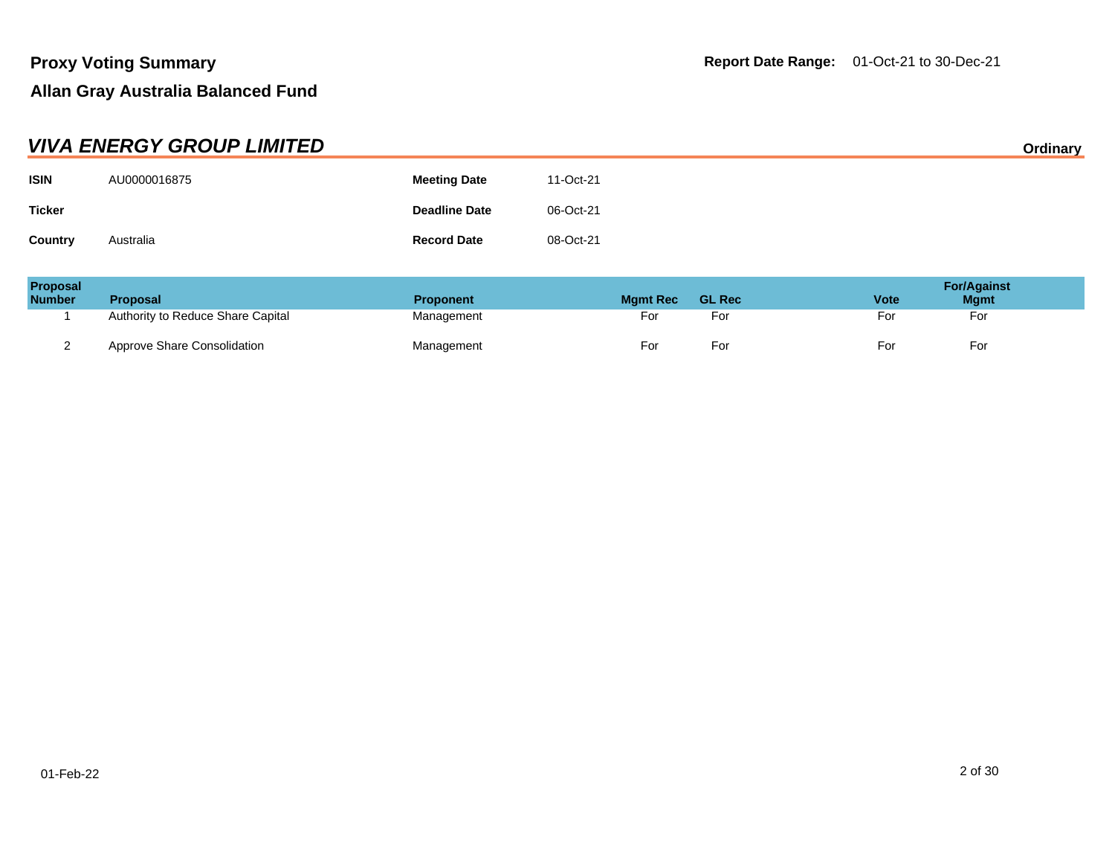|                | <b>VIVA ENERGY GROUP LIMITED</b> |                      |           | Ordinary |
|----------------|----------------------------------|----------------------|-----------|----------|
| <b>ISIN</b>    | AU0000016875                     | <b>Meeting Date</b>  | 11-Oct-21 |          |
| <b>Ticker</b>  |                                  | <b>Deadline Date</b> | 06-Oct-21 |          |
| <b>Country</b> | Australia                        | <b>Record Date</b>   | 08-Oct-21 |          |

| Proposal<br><b>Number</b> | <b>Proposal</b>                   | <b>Proponent</b> | <b>Mgmt Rec</b> | <b>GL Rec</b> | Vote | <b>For/Against</b><br><b>Mgmt</b> |
|---------------------------|-----------------------------------|------------------|-----------------|---------------|------|-----------------------------------|
|                           | Authority to Reduce Share Capital | Management       | For             | For           | For  | For                               |
|                           | Approve Share Consolidation       | Management       | For             | For           | For  | For                               |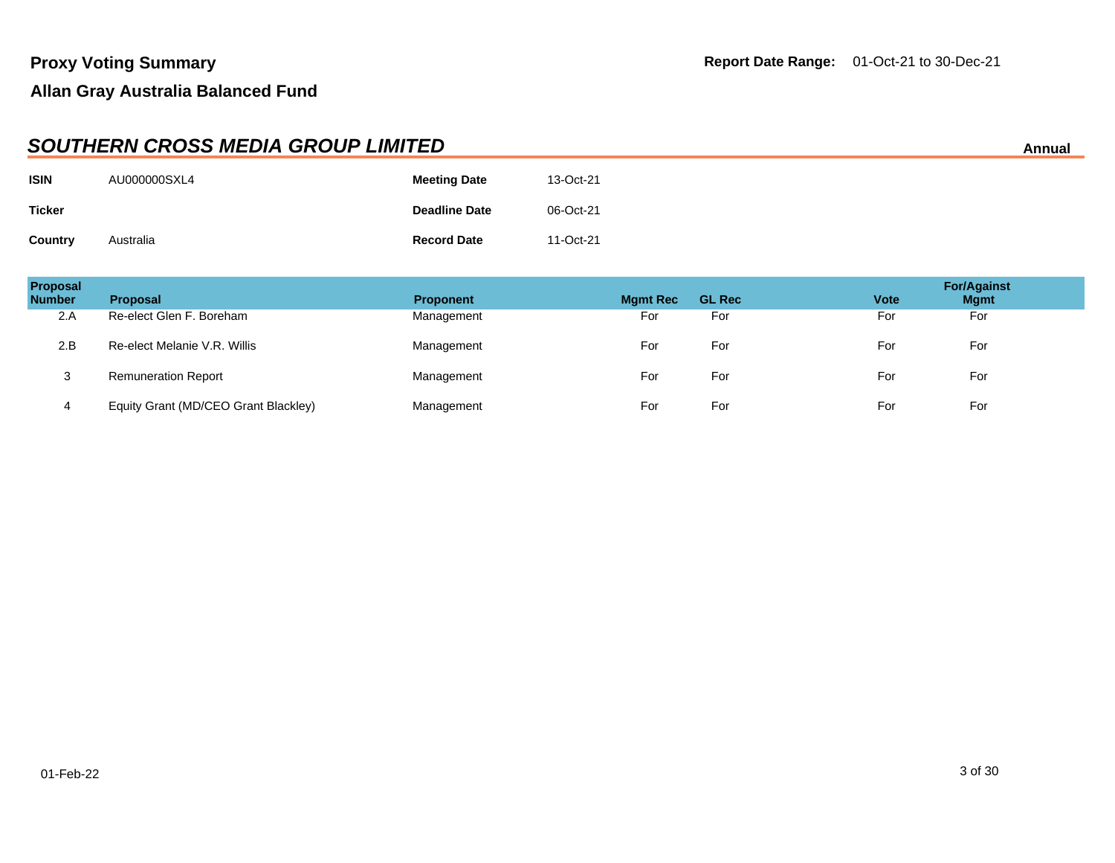|                | <b>SOUTHERN CROSS MEDIA GROUP LIMITED</b><br>Annual |                      |           |  |  |  |
|----------------|-----------------------------------------------------|----------------------|-----------|--|--|--|
| <b>ISIN</b>    | AU000000SXL4                                        | <b>Meeting Date</b>  | 13-Oct-21 |  |  |  |
| <b>Ticker</b>  |                                                     | <b>Deadline Date</b> | 06-Oct-21 |  |  |  |
| <b>Country</b> | Australia                                           | <b>Record Date</b>   | 11-Oct-21 |  |  |  |

| <b>Proposal</b><br><b>Number</b> | <b>Proposal</b>                      | <b>Proponent</b> | <b>Mgmt Rec</b> | <b>GL Rec</b> | <b>Vote</b> | <b>For/Against</b><br><b>Mgmt</b> |
|----------------------------------|--------------------------------------|------------------|-----------------|---------------|-------------|-----------------------------------|
| 2.A                              | Re-elect Glen F. Boreham             | Management       | For             | For           | For         | For                               |
| 2.B                              | Re-elect Melanie V.R. Willis         | Management       | For             | For           | For         | For                               |
| 3                                | <b>Remuneration Report</b>           | Management       | For             | For           | For         | For                               |
| 4                                | Equity Grant (MD/CEO Grant Blackley) | Management       | For             | For           | For         | For                               |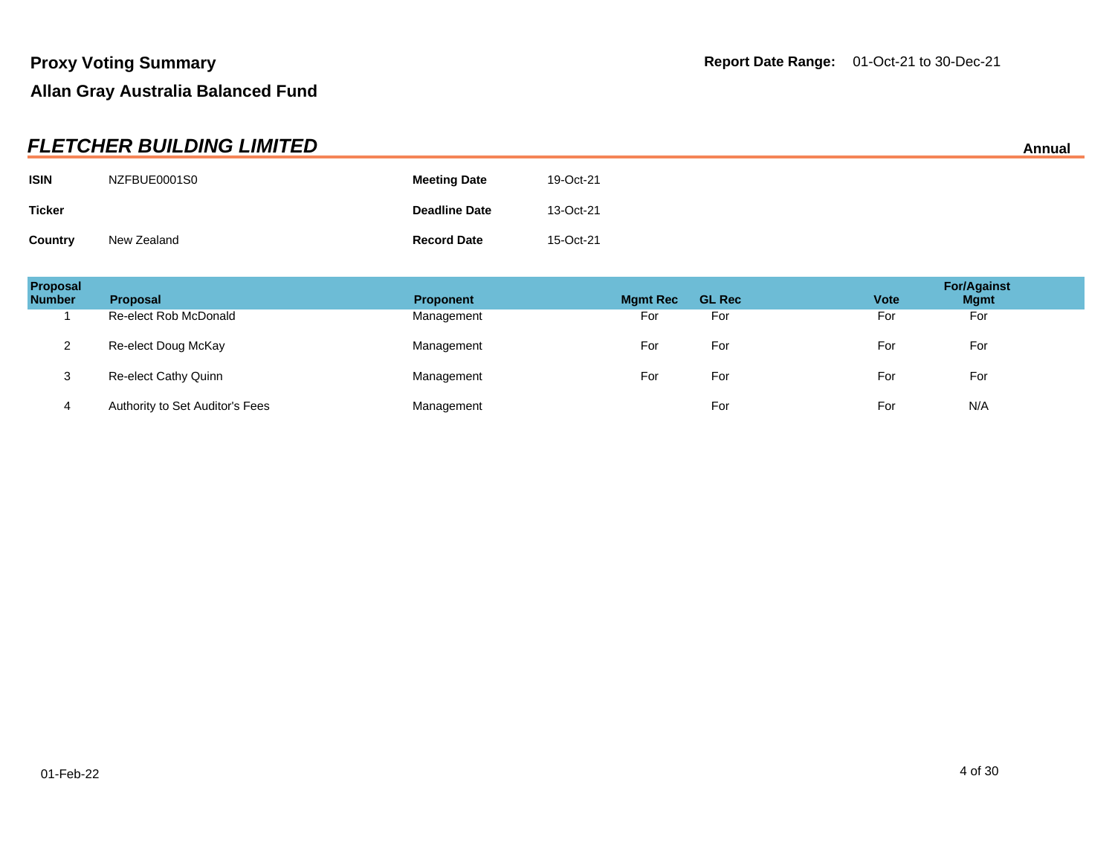|                | <b>FLETCHER BUILDING LIMITED</b> |                      |           | Annual |
|----------------|----------------------------------|----------------------|-----------|--------|
| <b>ISIN</b>    | NZFBUE0001S0                     | <b>Meeting Date</b>  | 19-Oct-21 |        |
| <b>Ticker</b>  |                                  | <b>Deadline Date</b> | 13-Oct-21 |        |
| <b>Country</b> | New Zealand                      | <b>Record Date</b>   | 15-Oct-21 |        |

| Proposal<br><b>Number</b> | <b>Proposal</b>                 | <b>Proponent</b> | <b>Mgmt Rec</b> | <b>GL Rec</b> | <b>Vote</b> | <b>For/Against</b><br><b>Mgmt</b> |
|---------------------------|---------------------------------|------------------|-----------------|---------------|-------------|-----------------------------------|
|                           | Re-elect Rob McDonald           | Management       | For             | For           | For         | For                               |
|                           | Re-elect Doug McKay             | Management       | For             | For           | For         | For                               |
| J                         | Re-elect Cathy Quinn            | Management       | For             | For           | For         | For                               |
| 4                         | Authority to Set Auditor's Fees | Management       |                 | For           | For         | N/A                               |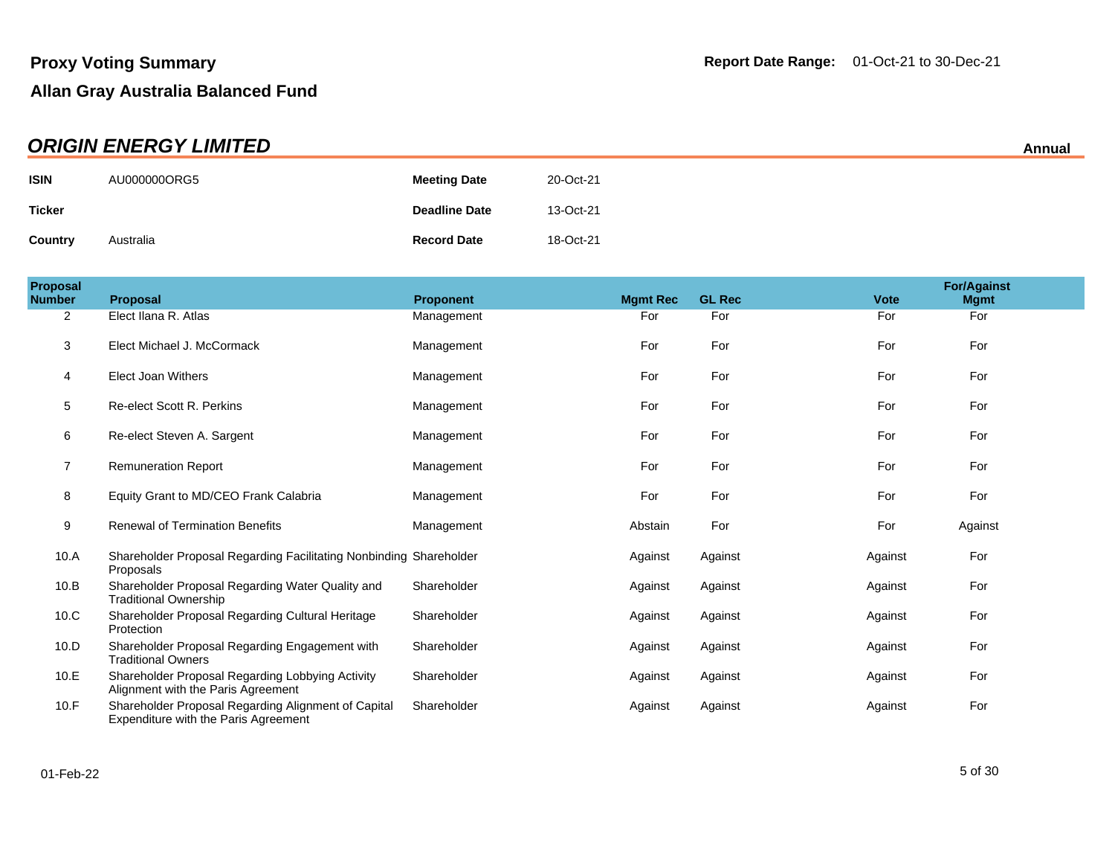|               | <b>ORIGIN ENERGY LIMITED</b> |                      |           | Annual |
|---------------|------------------------------|----------------------|-----------|--------|
| <b>ISIN</b>   | AU000000ORG5                 | <b>Meeting Date</b>  | 20-Oct-21 |        |
| <b>Ticker</b> |                              | <b>Deadline Date</b> | 13-Oct-21 |        |
| Country       | Australia                    | <b>Record Date</b>   | 18-Oct-21 |        |

| Proposal<br><b>Number</b> | <b>Proposal</b>                                                                             | <b>Proponent</b> | <b>Mgmt Rec</b> | <b>GL Rec</b> | <b>Vote</b> | <b>For/Against</b><br><b>Mgmt</b> |
|---------------------------|---------------------------------------------------------------------------------------------|------------------|-----------------|---------------|-------------|-----------------------------------|
| 2                         | Elect Ilana R. Atlas                                                                        | Management       | For             | For           | For         | For                               |
| 3                         | Elect Michael J. McCormack                                                                  | Management       | For             | For           | For         | For                               |
| 4                         | <b>Elect Joan Withers</b>                                                                   | Management       | For             | For           | For         | For                               |
| 5                         | <b>Re-elect Scott R. Perkins</b>                                                            | Management       | For             | For           | For         | For                               |
| 6                         | Re-elect Steven A. Sargent                                                                  | Management       | For             | For           | For         | For                               |
| $\overline{7}$            | <b>Remuneration Report</b>                                                                  | Management       | For             | For           | For         | For                               |
| 8                         | Equity Grant to MD/CEO Frank Calabria                                                       | Management       | For             | For           | For         | For                               |
| 9                         | <b>Renewal of Termination Benefits</b>                                                      | Management       | Abstain         | For           | For         | Against                           |
| 10.A                      | Shareholder Proposal Regarding Facilitating Nonbinding Shareholder<br>Proposals             |                  | Against         | Against       | Against     | For                               |
| 10.B                      | Shareholder Proposal Regarding Water Quality and<br><b>Traditional Ownership</b>            | Shareholder      | Against         | Against       | Against     | For                               |
| 10.C                      | Shareholder Proposal Regarding Cultural Heritage<br>Protection                              | Shareholder      | Against         | Against       | Against     | For                               |
| 10.D                      | Shareholder Proposal Regarding Engagement with<br><b>Traditional Owners</b>                 | Shareholder      | Against         | Against       | Against     | For                               |
| 10.E                      | Shareholder Proposal Regarding Lobbying Activity<br>Alignment with the Paris Agreement      | Shareholder      | Against         | Against       | Against     | For                               |
| 10.F                      | Shareholder Proposal Regarding Alignment of Capital<br>Expenditure with the Paris Agreement | Shareholder      | Against         | Against       | Against     | For                               |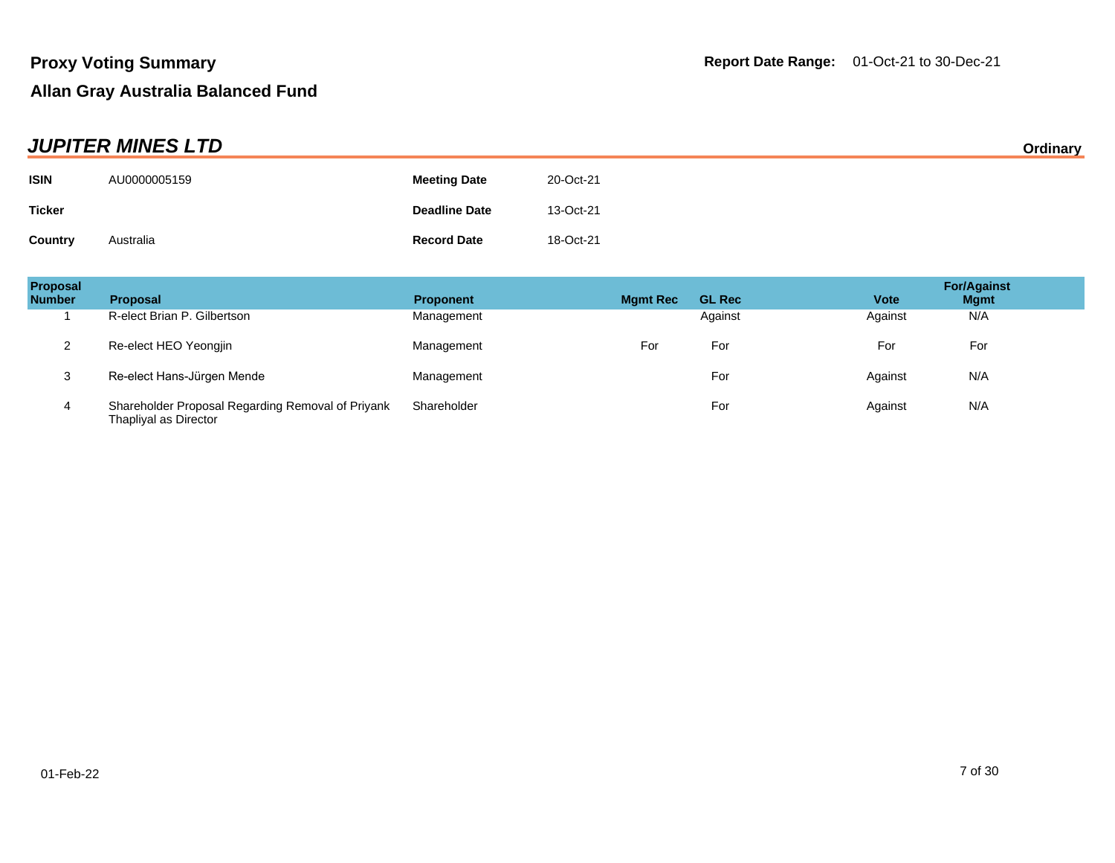| <b>JUPITER MINES LTD</b> |              |                      |           |  |
|--------------------------|--------------|----------------------|-----------|--|
| <b>ISIN</b>              | AU0000005159 | <b>Meeting Date</b>  | 20-Oct-21 |  |
| <b>Ticker</b>            |              | <b>Deadline Date</b> | 13-Oct-21 |  |
| Country                  | Australia    | <b>Record Date</b>   | 18-Oct-21 |  |

| Proposal<br><b>Number</b> | <b>Proposal</b>                                                            | <b>Proponent</b> | <b>Mgmt Rec</b> | <b>GL Rec</b> | <b>Vote</b> | <b>For/Against</b><br><b>Mgmt</b> |
|---------------------------|----------------------------------------------------------------------------|------------------|-----------------|---------------|-------------|-----------------------------------|
|                           | R-elect Brian P. Gilbertson                                                | Management       |                 | Against       | Against     | N/A                               |
| <u>_</u>                  | Re-elect HEO Yeongjin                                                      | Management       | For             | For           | For         | For                               |
| 3                         | Re-elect Hans-Jürgen Mende                                                 | Management       |                 | For           | Against     | N/A                               |
| 4                         | Shareholder Proposal Regarding Removal of Priyank<br>Thapliyal as Director | Shareholder      |                 | For           | Against     | N/A                               |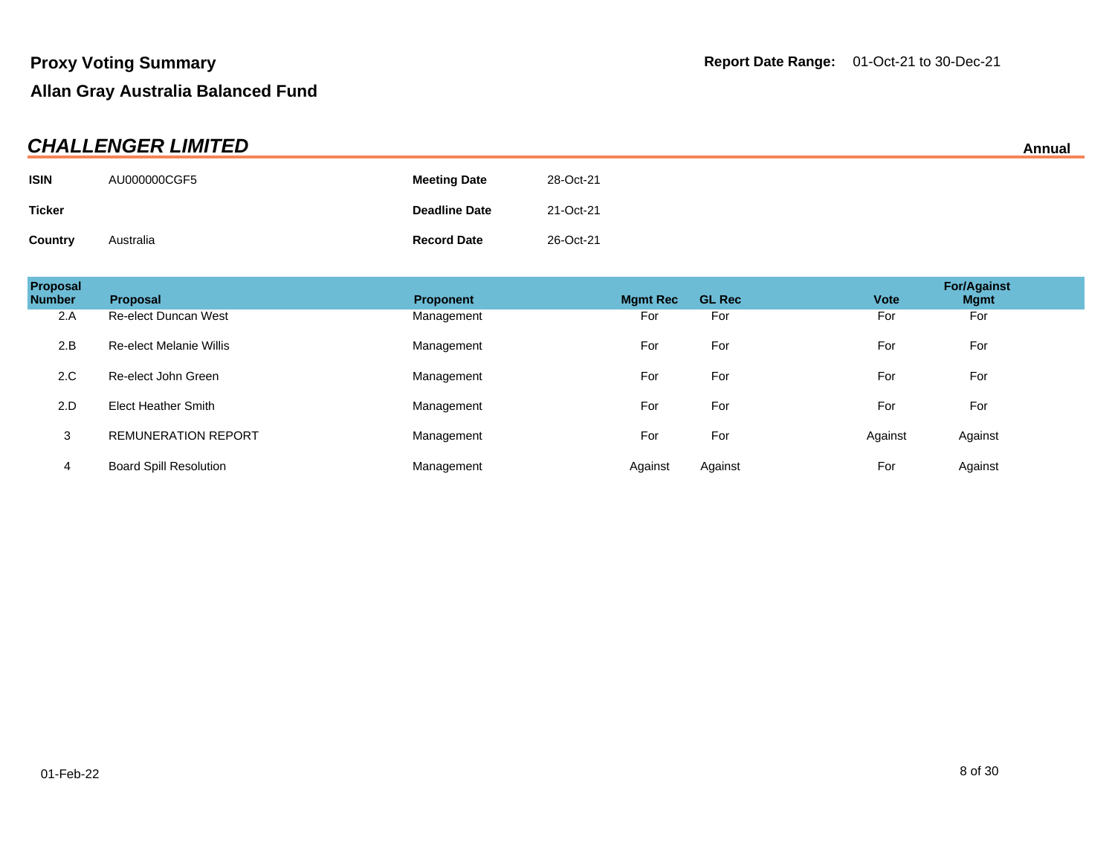| <b>CHALLENGER LIMITED</b><br>Annual |              |                      |           |  |
|-------------------------------------|--------------|----------------------|-----------|--|
| <b>ISIN</b>                         | AU000000CGF5 | <b>Meeting Date</b>  | 28-Oct-21 |  |
| <b>Ticker</b>                       |              | <b>Deadline Date</b> | 21-Oct-21 |  |
| <b>Country</b>                      | Australia    | <b>Record Date</b>   | 26-Oct-21 |  |

| Proposal<br><b>Number</b> | Proposal                      | <b>Proponent</b> | <b>Mgmt Rec</b> | <b>GL Rec</b> | <b>Vote</b> | <b>For/Against</b><br><b>Mgmt</b> |
|---------------------------|-------------------------------|------------------|-----------------|---------------|-------------|-----------------------------------|
| 2.A                       | <b>Re-elect Duncan West</b>   | Management       | For             | For           | For         | For                               |
| 2.B                       | Re-elect Melanie Willis       | Management       | For             | For           | For         | For                               |
| 2.C                       | Re-elect John Green           | Management       | For             | For           | For         | For                               |
| 2.D                       | <b>Elect Heather Smith</b>    | Management       | For             | For           | For         | For                               |
| 3                         | <b>REMUNERATION REPORT</b>    | Management       | For             | For           | Against     | Against                           |
| 4                         | <b>Board Spill Resolution</b> | Management       | Against         | Against       | For         | Against                           |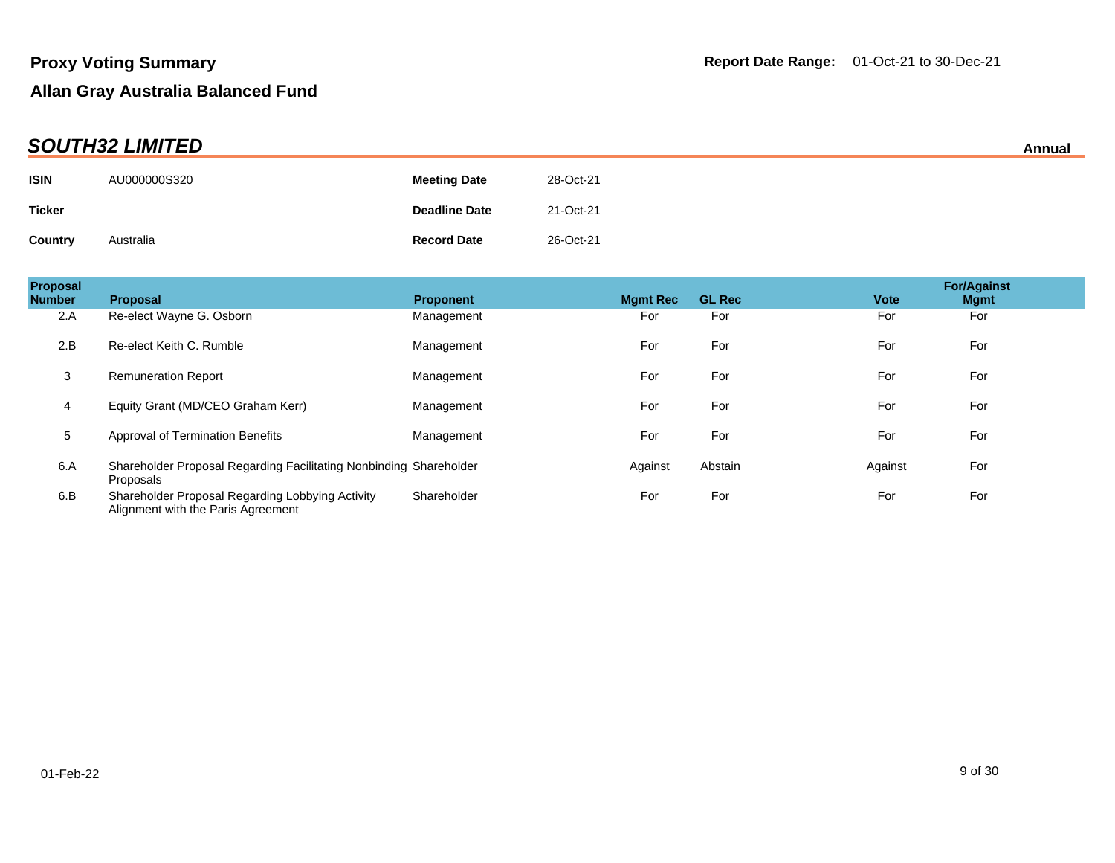|               | AIIIIuai     |                      |           |  |  |
|---------------|--------------|----------------------|-----------|--|--|
| <b>ISIN</b>   | AU000000S320 | <b>Meeting Date</b>  | 28-Oct-21 |  |  |
| <b>Ticker</b> |              | <b>Deadline Date</b> | 21-Oct-21 |  |  |
| Country       | Australia    | <b>Record Date</b>   | 26-Oct-21 |  |  |

| Proposal<br><b>Number</b> | <b>Proposal</b>                                                                        | <b>Proponent</b> | <b>Mgmt Rec</b> | <b>GL Rec</b> | <b>Vote</b> | <b>For/Against</b><br><b>Mgmt</b> |  |
|---------------------------|----------------------------------------------------------------------------------------|------------------|-----------------|---------------|-------------|-----------------------------------|--|
| 2.A                       | Re-elect Wayne G. Osborn                                                               | Management       | For             | For           | For         | For                               |  |
| 2.B                       | Re-elect Keith C. Rumble                                                               | Management       | For             | For           | For         | For                               |  |
| 3                         | <b>Remuneration Report</b>                                                             | Management       | For             | For           | For         | For                               |  |
| 4                         | Equity Grant (MD/CEO Graham Kerr)                                                      | Management       | For             | For           | For         | For                               |  |
| 5                         | Approval of Termination Benefits                                                       | Management       | For             | For           | For         | For                               |  |
| 6.A                       | Shareholder Proposal Regarding Facilitating Nonbinding Shareholder<br>Proposals        |                  | Against         | Abstain       | Against     | For                               |  |
| 6.B                       | Shareholder Proposal Regarding Lobbying Activity<br>Alignment with the Paris Agreement | Shareholder      | For             | For           | For         | For                               |  |

# **SOUTH32 LIMITED Annual**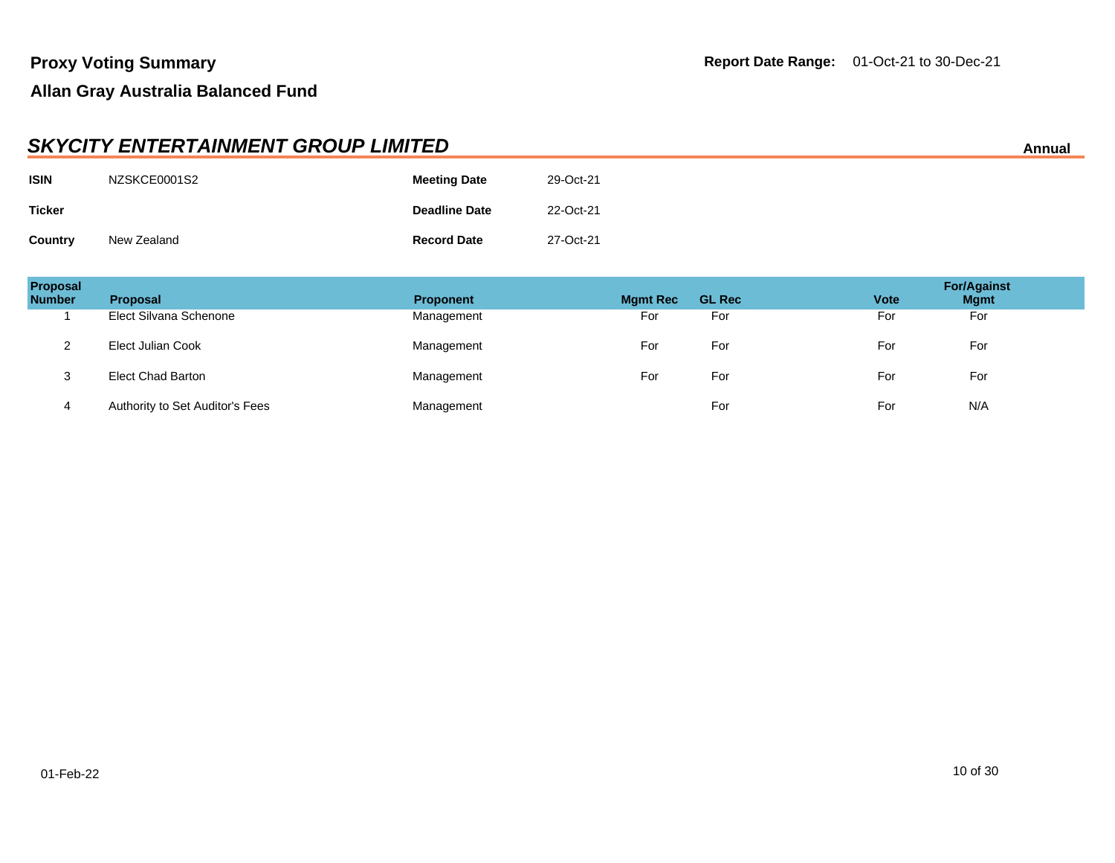|                | <b>SKYCITY ENTERTAINMENT GROUP LIMITED</b><br>Annual |                      |           |  |  |
|----------------|------------------------------------------------------|----------------------|-----------|--|--|
| <b>ISIN</b>    | NZSKCE0001S2                                         | <b>Meeting Date</b>  | 29-Oct-21 |  |  |
| <b>Ticker</b>  |                                                      | <b>Deadline Date</b> | 22-Oct-21 |  |  |
| <b>Country</b> | New Zealand                                          | <b>Record Date</b>   | 27-Oct-21 |  |  |

| Proposal<br><b>Number</b> | <b>Proposal</b>                 | <b>Proponent</b> | <b>Mgmt Rec</b> | <b>GL Rec</b> | <b>Vote</b> | <b>For/Against</b><br><b>Mgmt</b> |
|---------------------------|---------------------------------|------------------|-----------------|---------------|-------------|-----------------------------------|
|                           | Elect Silvana Schenone          | Management       | For             | For           | For         | For                               |
| ⌒                         | Elect Julian Cook               | Management       | For             | For           | For         | For                               |
| 3                         | <b>Elect Chad Barton</b>        | Management       | For             | For           | For         | For                               |
| 4                         | Authority to Set Auditor's Fees | Management       |                 | For           | For         | N/A                               |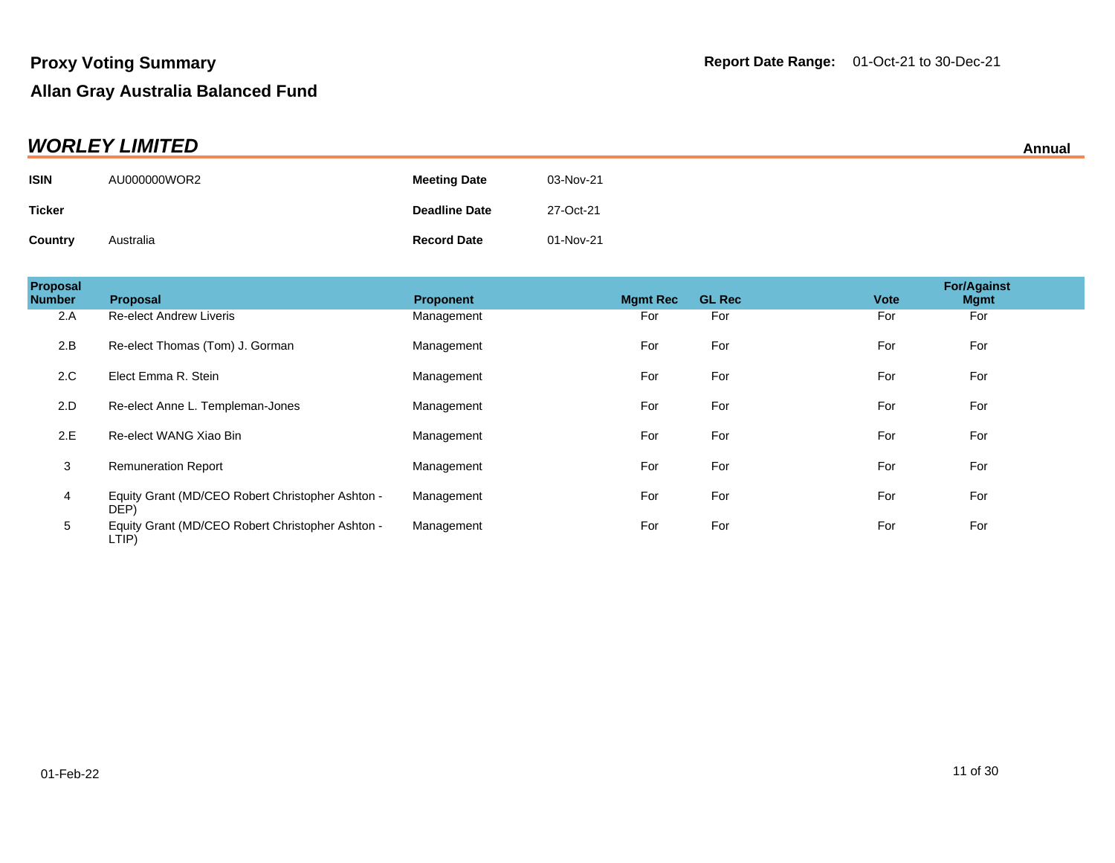| <b>WORLEY LIMITED</b><br>Annual |              |                      |           |  |
|---------------------------------|--------------|----------------------|-----------|--|
| <b>ISIN</b>                     | AU000000WOR2 | <b>Meeting Date</b>  | 03-Nov-21 |  |
| <b>Ticker</b>                   |              | <b>Deadline Date</b> | 27-Oct-21 |  |
| Country                         | Australia    | <b>Record Date</b>   | 01-Nov-21 |  |

| Proposal<br><b>Number</b> | <b>Proposal</b>                                           | <b>Proponent</b> | <b>Mamt Rec</b> | <b>GL Rec</b> | <b>Vote</b> | <b>For/Against</b><br><b>Mgmt</b> |
|---------------------------|-----------------------------------------------------------|------------------|-----------------|---------------|-------------|-----------------------------------|
| 2.A                       | <b>Re-elect Andrew Liveris</b>                            | Management       | For             | For           | For         | For                               |
| 2.B                       | Re-elect Thomas (Tom) J. Gorman                           | Management       | For             | For           | For         | For                               |
| 2.C                       | Elect Emma R. Stein                                       | Management       | For             | For           | For         | For                               |
| 2.D                       | Re-elect Anne L. Templeman-Jones                          | Management       | For             | For           | For         | For                               |
| 2.E                       | Re-elect WANG Xiao Bin                                    | Management       | For             | For           | For         | For                               |
| 3                         | <b>Remuneration Report</b>                                | Management       | For             | For           | For         | For                               |
| 4                         | Equity Grant (MD/CEO Robert Christopher Ashton -<br>DEP)  | Management       | For             | For           | For         | For                               |
| 5                         | Equity Grant (MD/CEO Robert Christopher Ashton -<br>LTIP) | Management       | For             | For           | For         | For                               |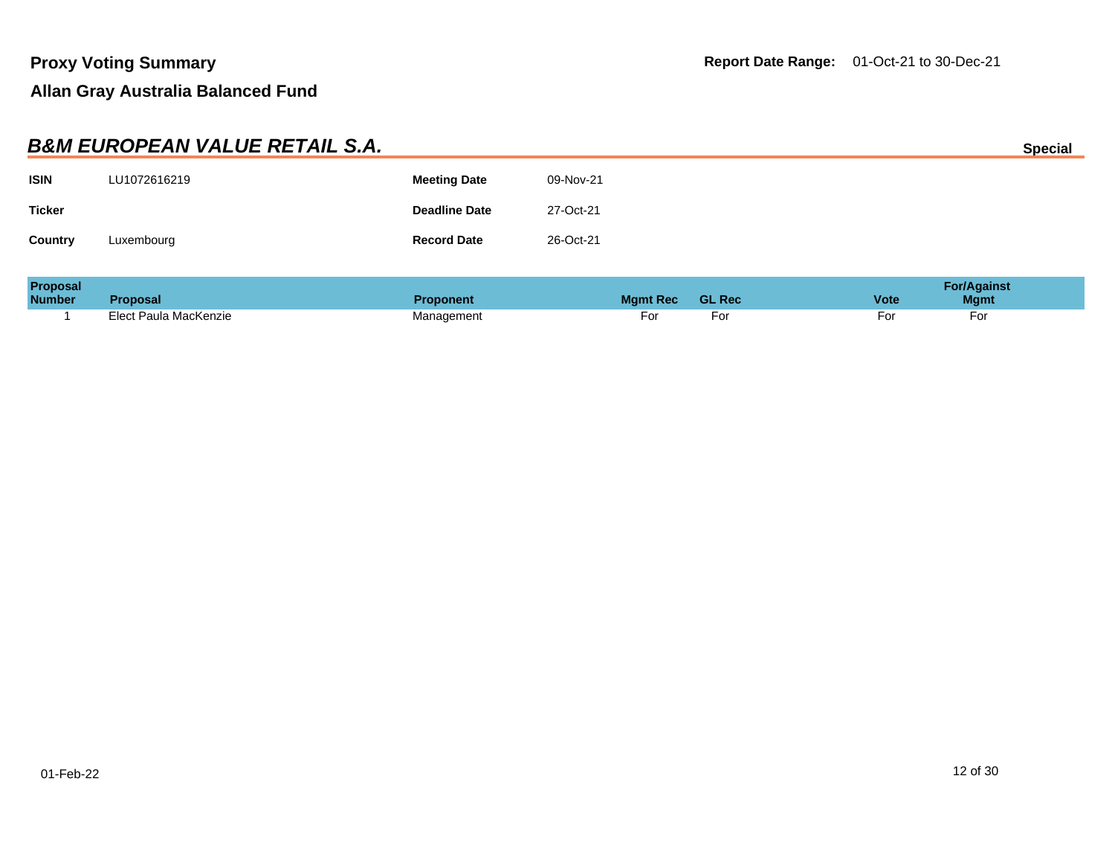|               | <b>B&amp;M EUROPEAN VALUE RETAIL S.A.</b> |                      |           | <b>Special</b> |
|---------------|-------------------------------------------|----------------------|-----------|----------------|
| <b>ISIN</b>   | LU1072616219                              | <b>Meeting Date</b>  | 09-Nov-21 |                |
| <b>Ticker</b> |                                           | <b>Deadline Date</b> | 27-Oct-21 |                |
| Country       | Luxembourg                                | <b>Record Date</b>   | 26-Oct-21 |                |
|               |                                           |                      |           |                |

| <b>Proposal</b> |                       |            |                 |               | For/Against |             |  |
|-----------------|-----------------------|------------|-----------------|---------------|-------------|-------------|--|
| <b>Number</b>   | Proposal              | Proponent  | <b>Mamt Rec</b> | <b>GL Rec</b> | <b>Vote</b> | <b>Mgmt</b> |  |
|                 | Elect Paula MacKenzie | lanagement | ۰o۱             | ۰o۱           | -01         | -or         |  |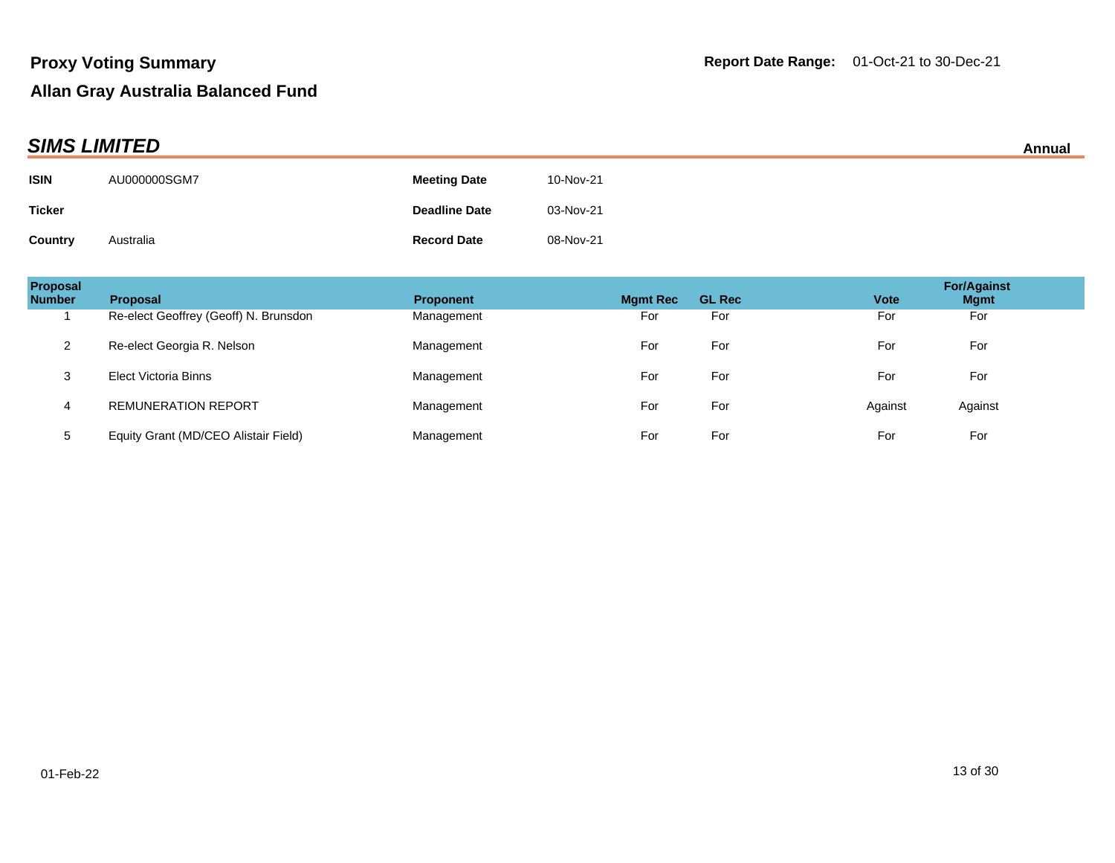|               | <b>SIMS LIMITED</b><br>Annual |                      |           |  |  |
|---------------|-------------------------------|----------------------|-----------|--|--|
| <b>ISIN</b>   | AU000000SGM7                  | <b>Meeting Date</b>  | 10-Nov-21 |  |  |
| <b>Ticker</b> |                               | <b>Deadline Date</b> | 03-Nov-21 |  |  |
| Country       | Australia                     | <b>Record Date</b>   | 08-Nov-21 |  |  |

| <b>Proposal</b><br><b>Number</b> | <b>Proposal</b>                       | <b>Proponent</b> | <b>Mamt Rec</b> | <b>GL Rec</b> | <b>Vote</b> | <b>For/Against</b><br><b>Mgmt</b> |
|----------------------------------|---------------------------------------|------------------|-----------------|---------------|-------------|-----------------------------------|
|                                  | Re-elect Geoffrey (Geoff) N. Brunsdon | Management       | For             | For           | For         | For                               |
| 2                                | Re-elect Georgia R. Nelson            | Management       | For             | For           | For         | For                               |
| 3                                | Elect Victoria Binns                  | Management       | For             | For           | For         | For                               |
| 4                                | <b>REMUNERATION REPORT</b>            | Management       | For             | For           | Against     | Against                           |
| 5                                | Equity Grant (MD/CEO Alistair Field)  | Management       | For             | For           | For         | For                               |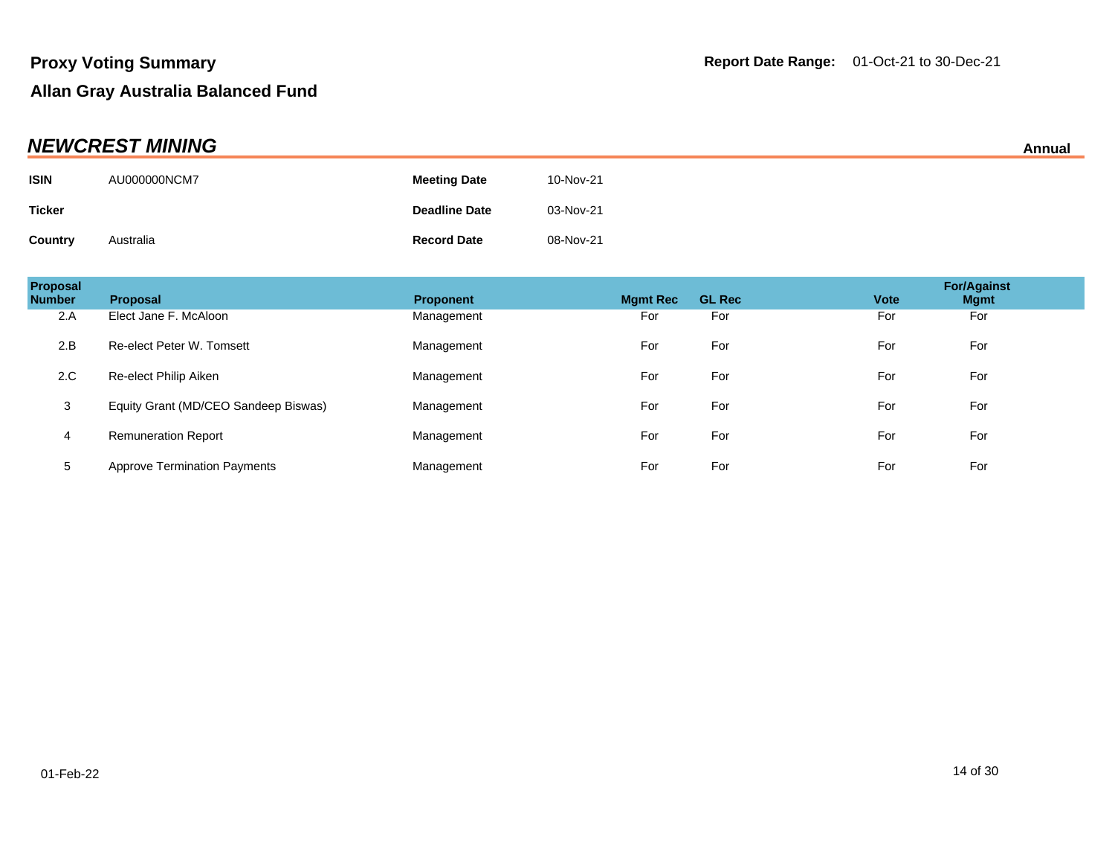| <b>NEWCREST MINING</b> |              |                      |           |  |
|------------------------|--------------|----------------------|-----------|--|
| <b>ISIN</b>            | AU000000NCM7 | <b>Meeting Date</b>  | 10-Nov-21 |  |
| <b>Ticker</b>          |              | <b>Deadline Date</b> | 03-Nov-21 |  |
| <b>Country</b>         | Australia    | <b>Record Date</b>   | 08-Nov-21 |  |

| Proposal<br><b>Number</b> | <b>Proposal</b>                      | <b>Proponent</b> | <b>Mgmt Rec</b> | <b>GL Rec</b> | <b>Vote</b> | <b>For/Against</b><br><b>Mgmt</b> |
|---------------------------|--------------------------------------|------------------|-----------------|---------------|-------------|-----------------------------------|
| 2.A                       | Elect Jane F. McAloon                | Management       | For             | For           | For         | For                               |
| 2.B                       | Re-elect Peter W. Tomsett            | Management       | For             | For           | For         | For                               |
| 2.C                       | Re-elect Philip Aiken                | Management       | For             | For           | For         | For                               |
| 3                         | Equity Grant (MD/CEO Sandeep Biswas) | Management       | For             | For           | For         | For                               |
| 4                         | <b>Remuneration Report</b>           | Management       | For             | For           | For         | For                               |
| 5                         | <b>Approve Termination Payments</b>  | Management       | For             | For           | For         | For                               |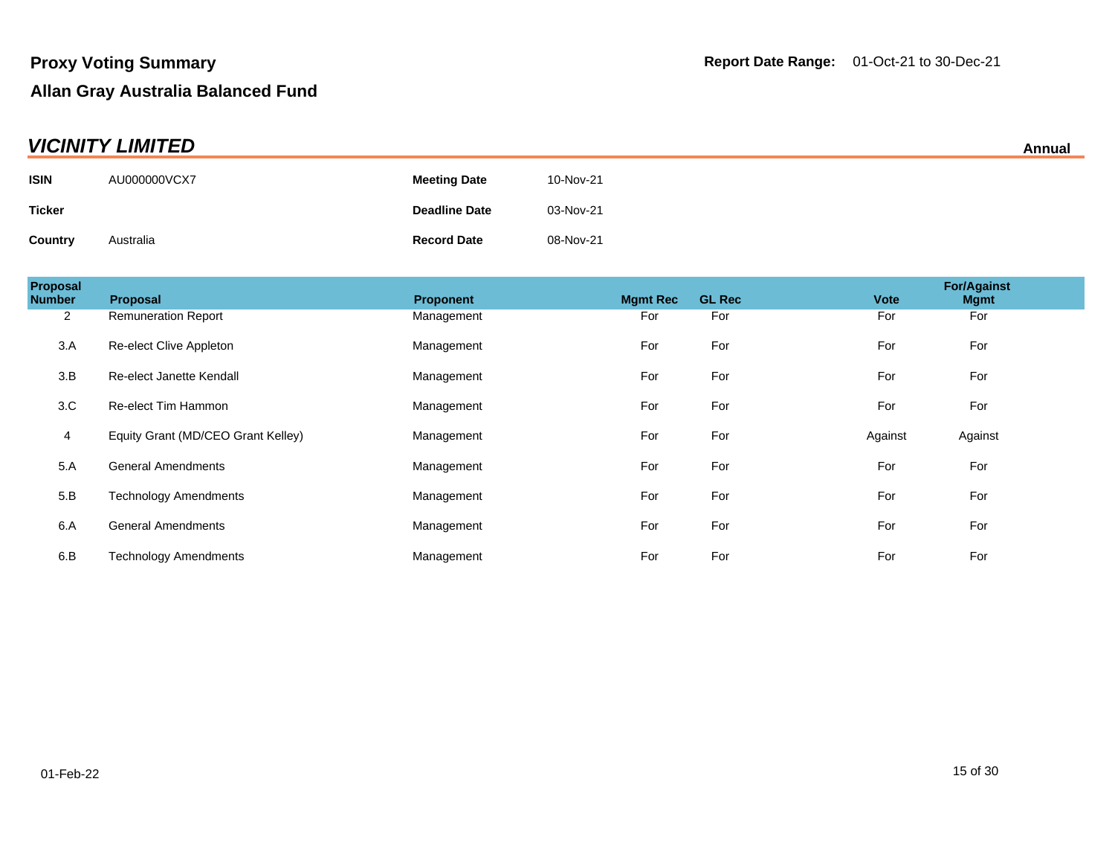| <b>VICINITY LIMITED</b><br>Annual |              |                      |           |  |
|-----------------------------------|--------------|----------------------|-----------|--|
| <b>ISIN</b>                       | AU000000VCX7 | <b>Meeting Date</b>  | 10-Nov-21 |  |
| <b>Ticker</b>                     |              | <b>Deadline Date</b> | 03-Nov-21 |  |
| Country                           | Australia    | <b>Record Date</b>   | 08-Nov-21 |  |

| <b>Proposal</b><br><b>Number</b> | Proposal                           | Proponent  | <b>Mgmt Rec</b> | <b>GL Rec</b> | <b>Vote</b> | <b>For/Against</b><br><b>Mgmt</b> |
|----------------------------------|------------------------------------|------------|-----------------|---------------|-------------|-----------------------------------|
| $\overline{2}$                   | <b>Remuneration Report</b>         | Management | For             | For           | For         | For                               |
| 3.A                              | Re-elect Clive Appleton            | Management | For             | For           | For         | For                               |
| 3.B                              | Re-elect Janette Kendall           | Management | For             | For           | For         | For                               |
| 3.C                              | Re-elect Tim Hammon                | Management | For             | For           | For         | For                               |
| 4                                | Equity Grant (MD/CEO Grant Kelley) | Management | For             | For           | Against     | Against                           |
| 5.A                              | <b>General Amendments</b>          | Management | For             | For           | For         | For                               |
| 5.B                              | <b>Technology Amendments</b>       | Management | For             | For           | For         | For                               |
| 6.A                              | <b>General Amendments</b>          | Management | For             | For           | For         | For                               |
| 6.B                              | <b>Technology Amendments</b>       | Management | For             | For           | For         | For                               |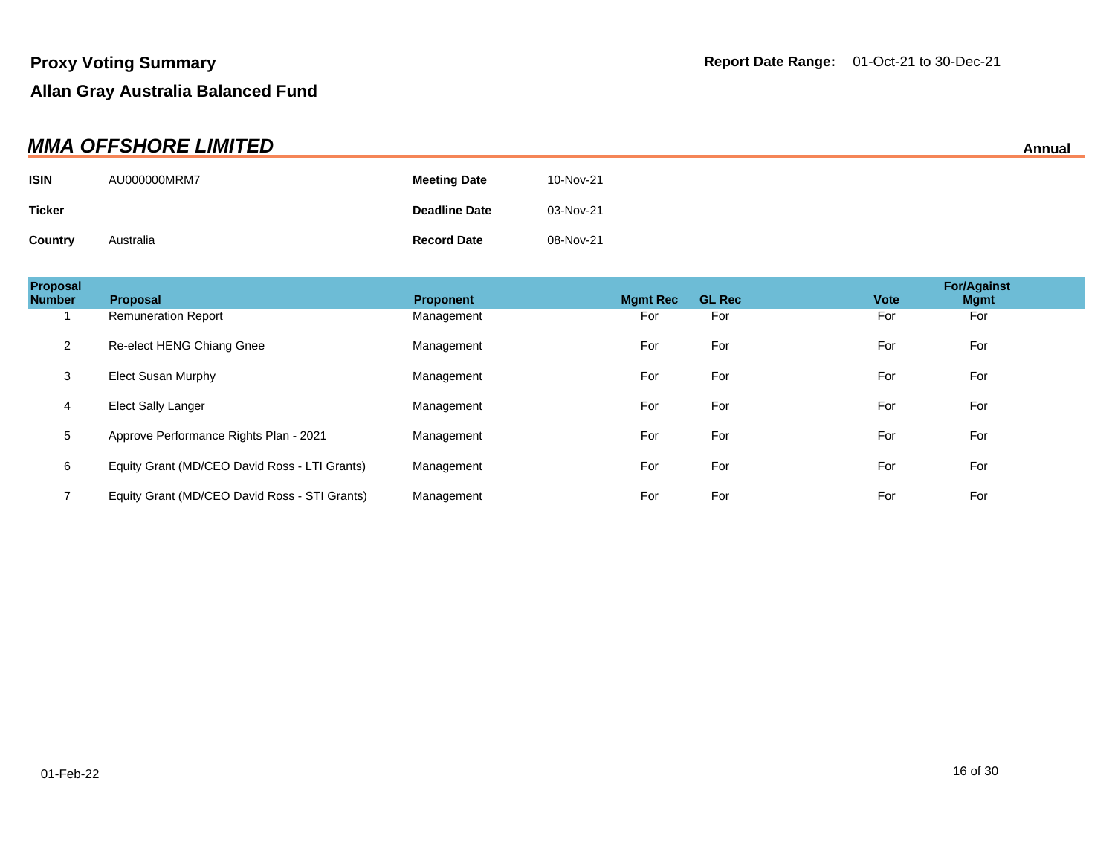|               | <b>MMA OFFSHORE LIMITED</b> |                      |           | Annual |
|---------------|-----------------------------|----------------------|-----------|--------|
| <b>ISIN</b>   | AU000000MRM7                | <b>Meeting Date</b>  | 10-Nov-21 |        |
| <b>Ticker</b> |                             | <b>Deadline Date</b> | 03-Nov-21 |        |
| Country       | Australia                   | <b>Record Date</b>   | 08-Nov-21 |        |

| Proposal<br><b>Number</b> | <b>Proposal</b>                               | <b>Proponent</b> | <b>Mamt Rec</b> | <b>GL Rec</b> | <b>Vote</b> | <b>For/Against</b><br><b>Mgmt</b> |  |
|---------------------------|-----------------------------------------------|------------------|-----------------|---------------|-------------|-----------------------------------|--|
|                           | <b>Remuneration Report</b>                    | Management       | For             | For           | For         | For                               |  |
| 2                         | Re-elect HENG Chiang Gnee                     | Management       | For             | For           | For         | For                               |  |
| 3                         | Elect Susan Murphy                            | Management       | For             | For           | For         | For                               |  |
| 4                         | Elect Sally Langer                            | Management       | For             | For           | For         | For                               |  |
| 5                         | Approve Performance Rights Plan - 2021        | Management       | For             | For           | For         | For                               |  |
| 6                         | Equity Grant (MD/CEO David Ross - LTI Grants) | Management       | For             | For           | For         | For                               |  |
|                           | Equity Grant (MD/CEO David Ross - STI Grants) | Management       | For             | For           | For         | For                               |  |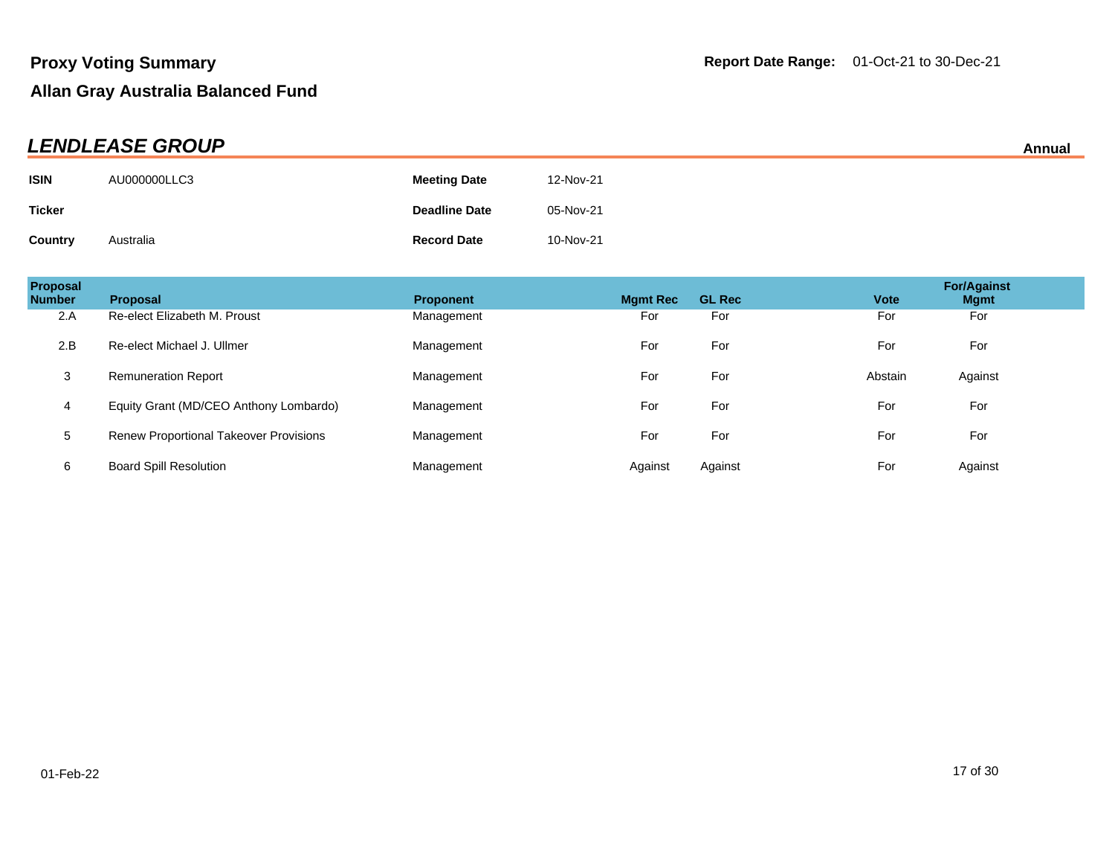| <b>LENDLEASE GROUP</b><br>Annual |              |                      |           |  |
|----------------------------------|--------------|----------------------|-----------|--|
| <b>ISIN</b>                      | AU000000LLC3 | <b>Meeting Date</b>  | 12-Nov-21 |  |
| <b>Ticker</b>                    |              | <b>Deadline Date</b> | 05-Nov-21 |  |
| <b>Country</b>                   | Australia    | <b>Record Date</b>   | 10-Nov-21 |  |

| Proposal<br><b>Number</b> | <b>Proposal</b>                               | <b>Proponent</b> | <b>Mgmt Rec</b> | <b>GL Rec</b> | <b>Vote</b> | <b>For/Against</b><br><b>Mgmt</b> |
|---------------------------|-----------------------------------------------|------------------|-----------------|---------------|-------------|-----------------------------------|
| 2.A                       | Re-elect Elizabeth M. Proust                  | Management       | For             | For           | For         | For                               |
| 2.B                       | Re-elect Michael J. Ullmer                    | Management       | For             | For           | For         | For                               |
| 3                         | <b>Remuneration Report</b>                    | Management       | For             | For           | Abstain     | Against                           |
| $\overline{4}$            | Equity Grant (MD/CEO Anthony Lombardo)        | Management       | For             | For           | For         | For                               |
| 5                         | <b>Renew Proportional Takeover Provisions</b> | Management       | For             | For           | For         | For                               |
| 6                         | <b>Board Spill Resolution</b>                 | Management       | Against         | Against       | For         | Against                           |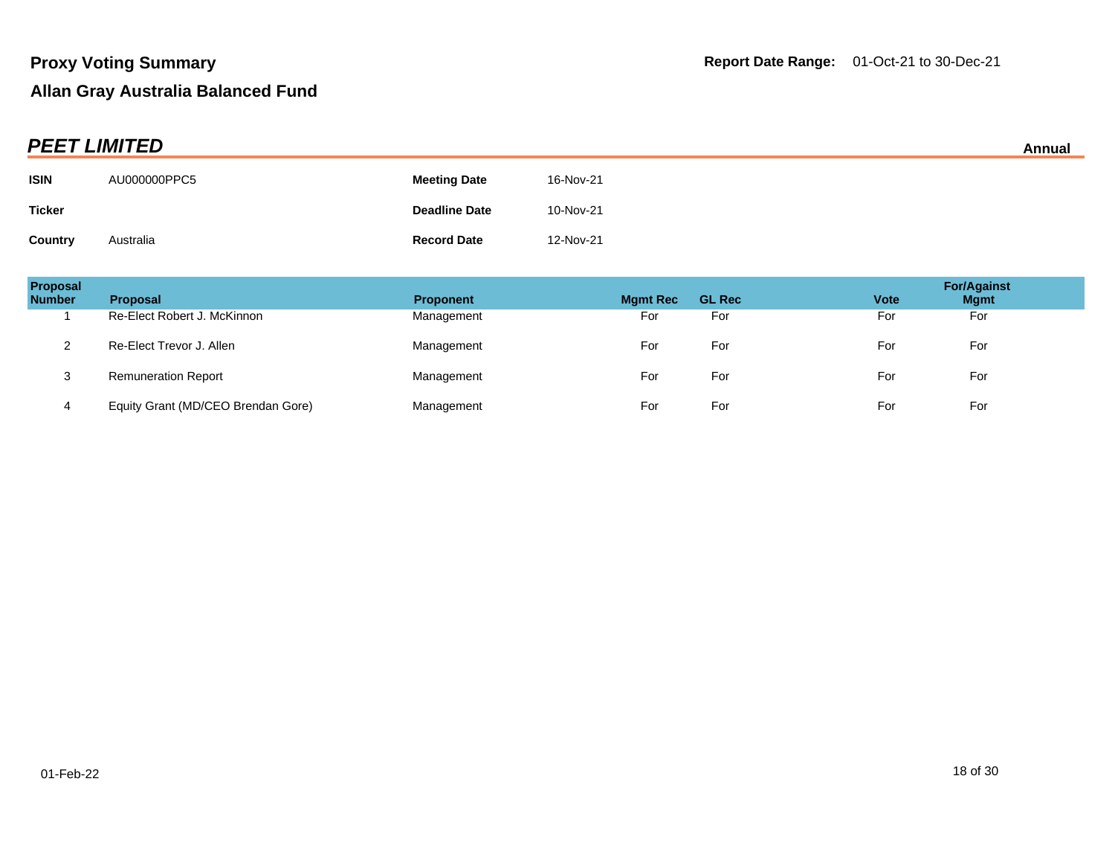|               | <b>PEET LIMITED</b><br>Annual |                      |           |  |  |
|---------------|-------------------------------|----------------------|-----------|--|--|
| <b>ISIN</b>   | AU000000PPC5                  | <b>Meeting Date</b>  | 16-Nov-21 |  |  |
| <b>Ticker</b> |                               | <b>Deadline Date</b> | 10-Nov-21 |  |  |
| Country       | Australia                     | <b>Record Date</b>   | 12-Nov-21 |  |  |

| Proposal<br><b>Number</b> | <b>Proposal</b>                    | <b>Proponent</b> | <b>Mgmt Rec</b> | <b>GL Rec</b> | <b>Vote</b> | <b>For/Against</b><br><b>Mgmt</b> |
|---------------------------|------------------------------------|------------------|-----------------|---------------|-------------|-----------------------------------|
|                           | Re-Elect Robert J. McKinnon        | Management       | For             | For           | For         | For                               |
|                           | Re-Elect Trevor J. Allen           | Management       | For             | For           | For         | For                               |
| 3                         | <b>Remuneration Report</b>         | Management       | For             | For           | For         | For                               |
|                           | Equity Grant (MD/CEO Brendan Gore) | Management       | For             | For           | For         | For                               |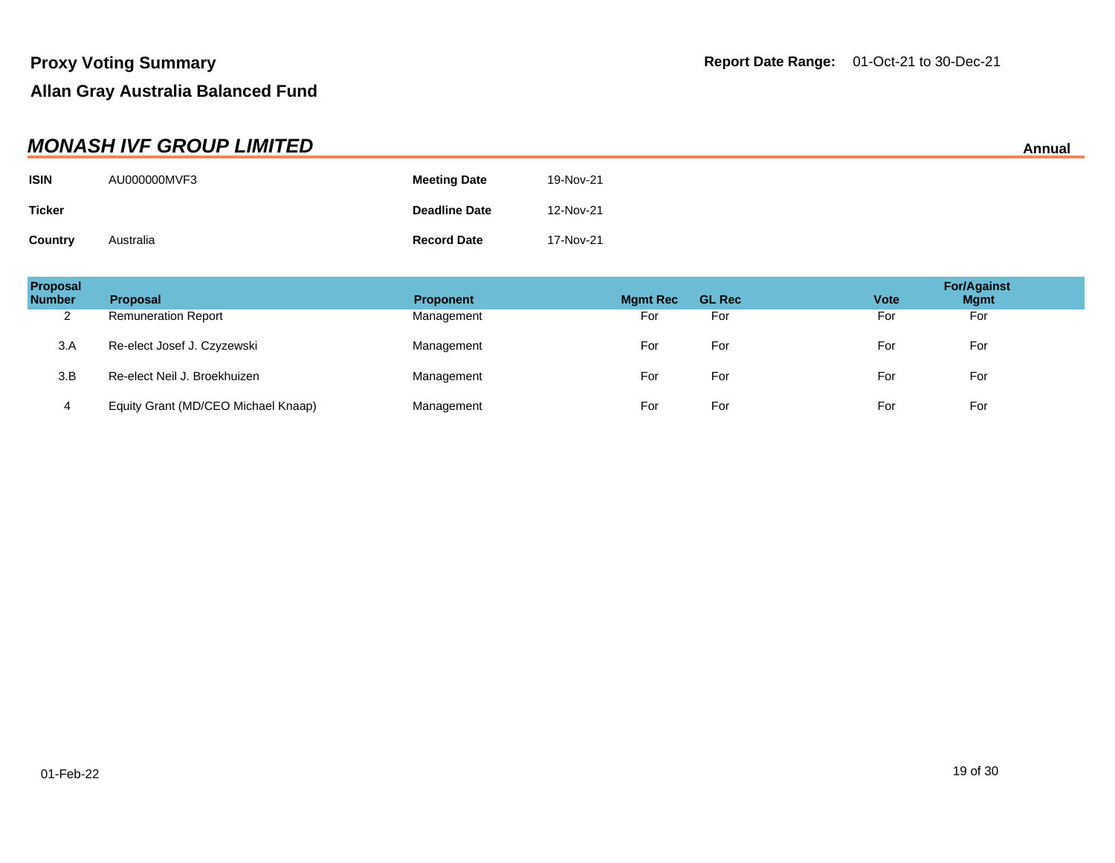|               | <b>MONASH IVF GROUP LIMITED</b> |                      |           | Annual |
|---------------|---------------------------------|----------------------|-----------|--------|
| <b>ISIN</b>   | AU000000MVF3                    | <b>Meeting Date</b>  | 19-Nov-21 |        |
| <b>Ticker</b> |                                 | <b>Deadline Date</b> | 12-Nov-21 |        |
| Country       | Australia                       | <b>Record Date</b>   | 17-Nov-21 |        |

| Proposal<br><b>Number</b> | <b>Proposal</b>                     | <b>Proponent</b> | <b>Mgmt Rec</b> | <b>GL Rec</b> | <b>Vote</b> | <b>For/Against</b><br><b>Mgmt</b> |
|---------------------------|-------------------------------------|------------------|-----------------|---------------|-------------|-----------------------------------|
| ◠<br>∼                    | <b>Remuneration Report</b>          | Management       | For             | For           | For         | For                               |
| 3.A                       | Re-elect Josef J. Czyzewski         | Management       | For             | For           | For         | For                               |
| 3.B                       | Re-elect Neil J. Broekhuizen        | Management       | For             | For           | For         | For                               |
| 4                         | Equity Grant (MD/CEO Michael Knaap) | Management       | For             | For           | For         | For                               |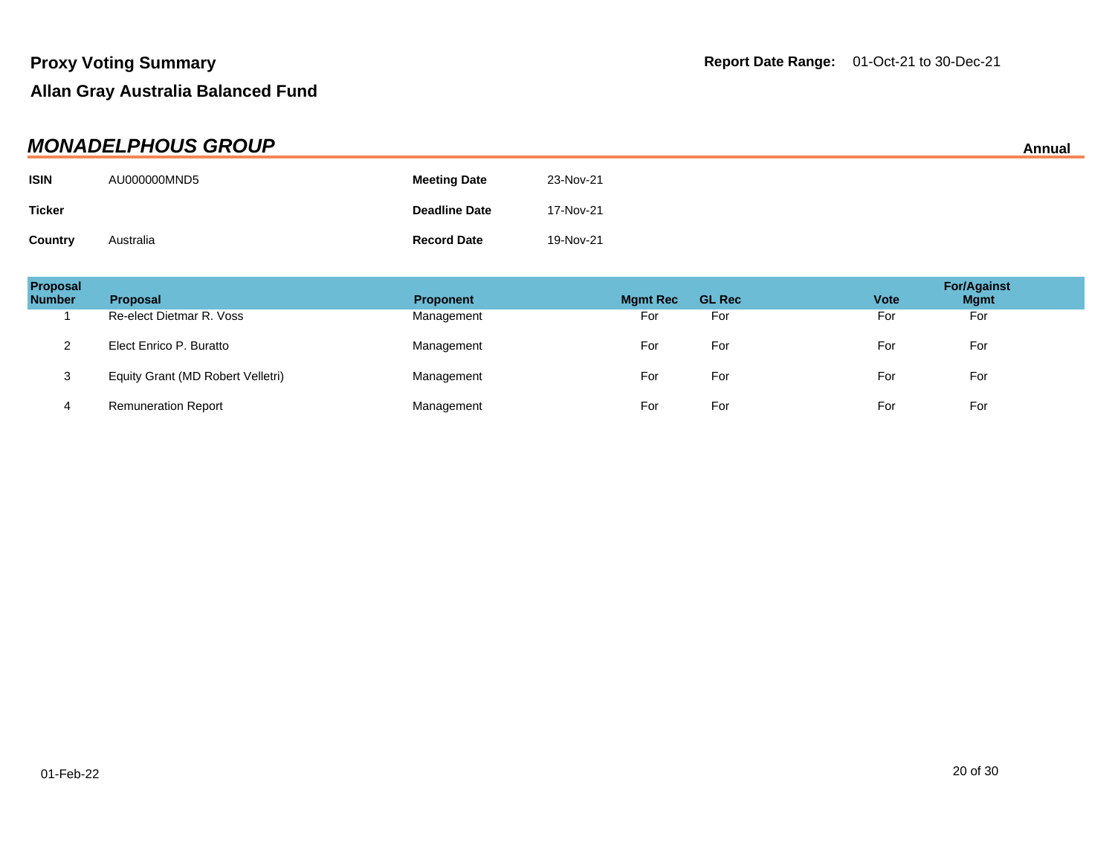| <b>MONADELPHOUS GROUP</b><br>Annual |              |                      |           |  |
|-------------------------------------|--------------|----------------------|-----------|--|
| <b>ISIN</b>                         | AU000000MND5 | <b>Meeting Date</b>  | 23-Nov-21 |  |
| <b>Ticker</b>                       |              | <b>Deadline Date</b> | 17-Nov-21 |  |
| Country                             | Australia    | <b>Record Date</b>   | 19-Nov-21 |  |

| Proposal<br><b>Number</b> | <b>Proposal</b>                   | <b>Proponent</b> | <b>Mgmt Rec</b> | <b>GL Rec</b> | <b>Vote</b> | <b>For/Against</b><br><b>Mgmt</b> |
|---------------------------|-----------------------------------|------------------|-----------------|---------------|-------------|-----------------------------------|
|                           | Re-elect Dietmar R. Voss          | Management       | For             | For           | For         | For                               |
|                           | Elect Enrico P. Buratto           | Management       | For             | For           | For         | For                               |
| د                         | Equity Grant (MD Robert Velletri) | Management       | For             | For           | For         | For                               |
|                           | <b>Remuneration Report</b>        | Management       | For             | For           | For         | For                               |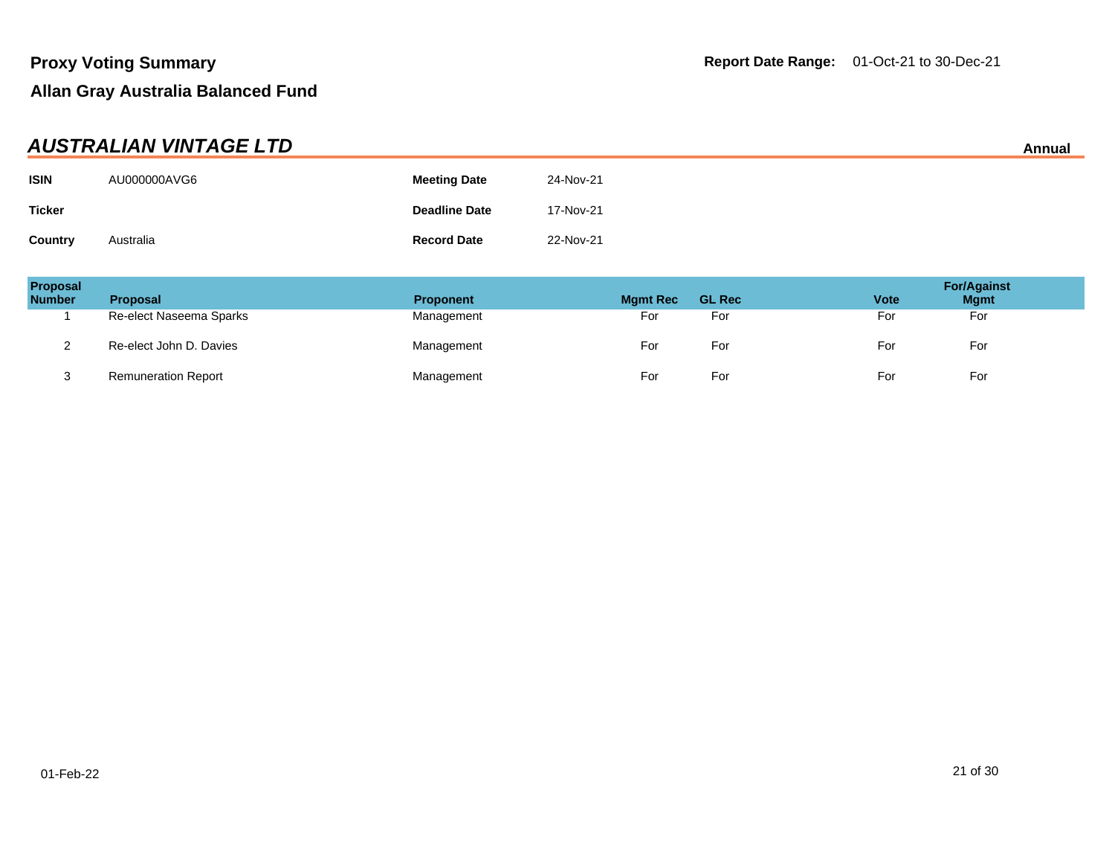| AUSTRALIAN VINTAGE LTD<br>Annual |              |                      |           |  |
|----------------------------------|--------------|----------------------|-----------|--|
| <b>ISIN</b>                      | AU000000AVG6 | <b>Meeting Date</b>  | 24-Nov-21 |  |
| <b>Ticker</b>                    |              | <b>Deadline Date</b> | 17-Nov-21 |  |
| Country                          | Australia    | <b>Record Date</b>   | 22-Nov-21 |  |

| Proposal<br><b>Number</b> | <b>Proposal</b>            | <b>Proponent</b> | <b>Mgmt Rec</b> | <b>GL Rec</b> | <b>Vote</b> | <b>For/Against</b><br><b>Mgmt</b> |
|---------------------------|----------------------------|------------------|-----------------|---------------|-------------|-----------------------------------|
|                           | Re-elect Naseema Sparks    | Management       | For             | For           | For         | For                               |
| _                         | Re-elect John D. Davies    | Management       | For             | For           | For         | For                               |
| J                         | <b>Remuneration Report</b> | Management       | For             | For           | For         | For                               |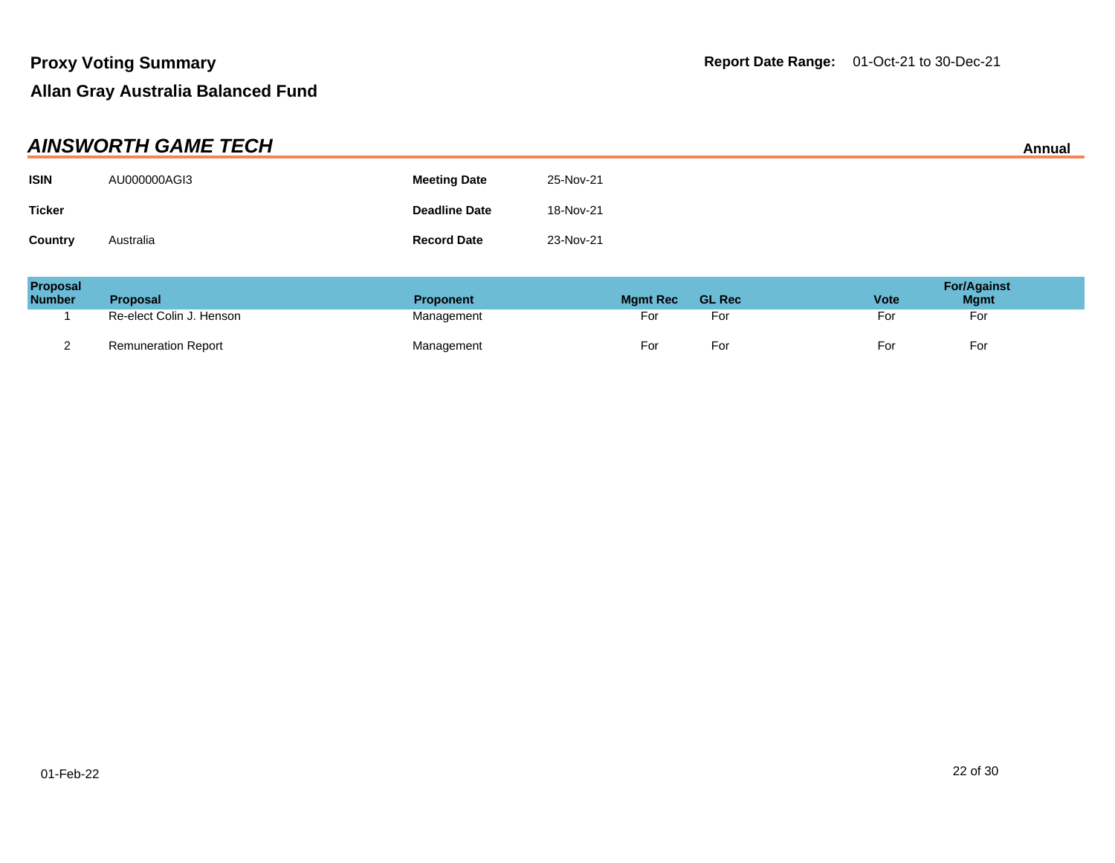| <b>AINSWORTH GAME TECH</b><br>Annual |              |                      |           |  |
|--------------------------------------|--------------|----------------------|-----------|--|
| <b>ISIN</b>                          | AU000000AGI3 | <b>Meeting Date</b>  | 25-Nov-21 |  |
| <b>Ticker</b>                        |              | <b>Deadline Date</b> | 18-Nov-21 |  |
| Country                              | Australia    | <b>Record Date</b>   | 23-Nov-21 |  |

| Proposal<br><b>Number</b> | <b>Proposal</b>            | <b>Proponent</b> | <b>Mamt Rec</b> | <b>GL Rec</b> | <b>Vote</b> | <b>For/Against</b><br><b>Mgmt</b> |
|---------------------------|----------------------------|------------------|-----------------|---------------|-------------|-----------------------------------|
|                           | Re-elect Colin J. Henson   | Management       | For             | For           | For         | For                               |
|                           | <b>Remuneration Report</b> | Management       | For             | Foi           | Foi         | For                               |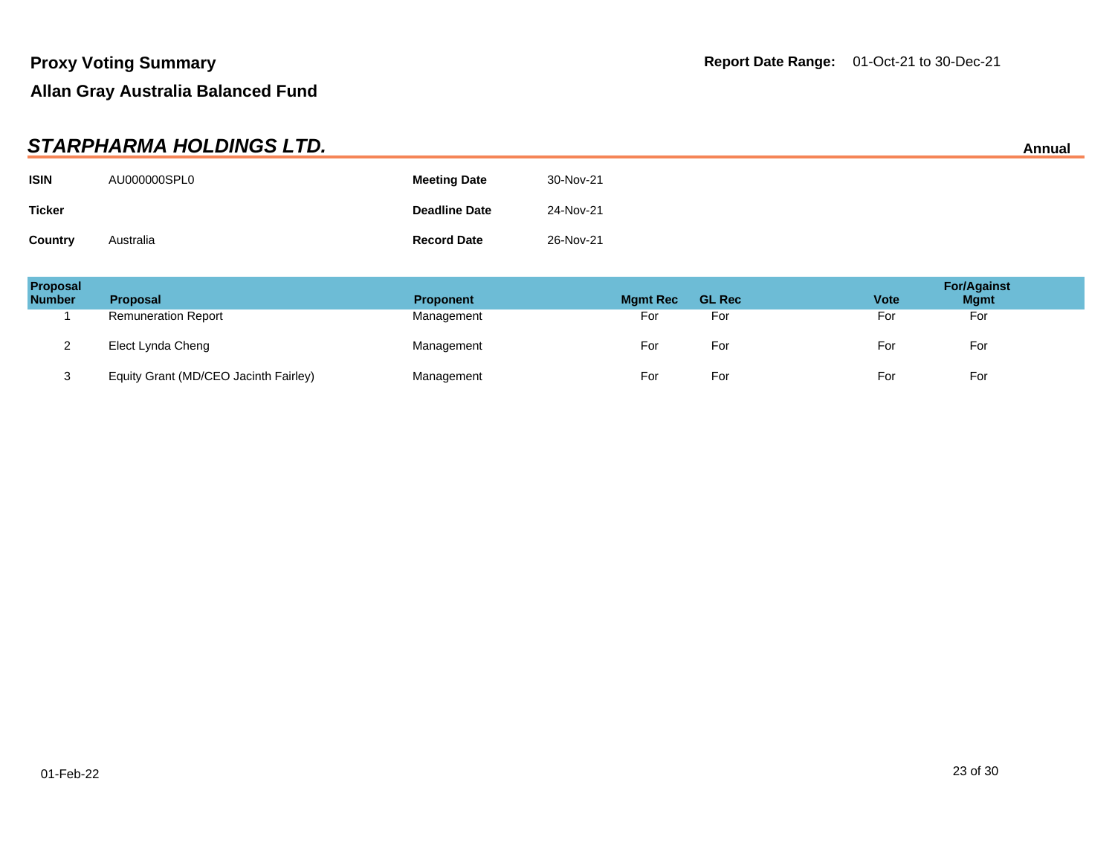|               | STARPHARMA HOLDINGS LTD. |                      |           | Annual |
|---------------|--------------------------|----------------------|-----------|--------|
| <b>ISIN</b>   | AU000000SPL0             | <b>Meeting Date</b>  | 30-Nov-21 |        |
| <b>Ticker</b> |                          | <b>Deadline Date</b> | 24-Nov-21 |        |
| Country       | Australia                | <b>Record Date</b>   | 26-Nov-21 |        |

| Proposal<br><b>Number</b> | <b>Proposal</b>                       | <b>Proponent</b> | <b>Mgmt Rec</b> | <b>GL Rec</b> | <b>Vote</b> | <b>For/Against</b><br><b>Mgmt</b> |
|---------------------------|---------------------------------------|------------------|-----------------|---------------|-------------|-----------------------------------|
|                           | <b>Remuneration Report</b>            | Management       | For             | For           | For         | For                               |
| ∼                         | Elect Lynda Cheng                     | Management       | For             | For           | For         | For                               |
| ు                         | Equity Grant (MD/CEO Jacinth Fairley) | Management       | For             | For           | For         | For                               |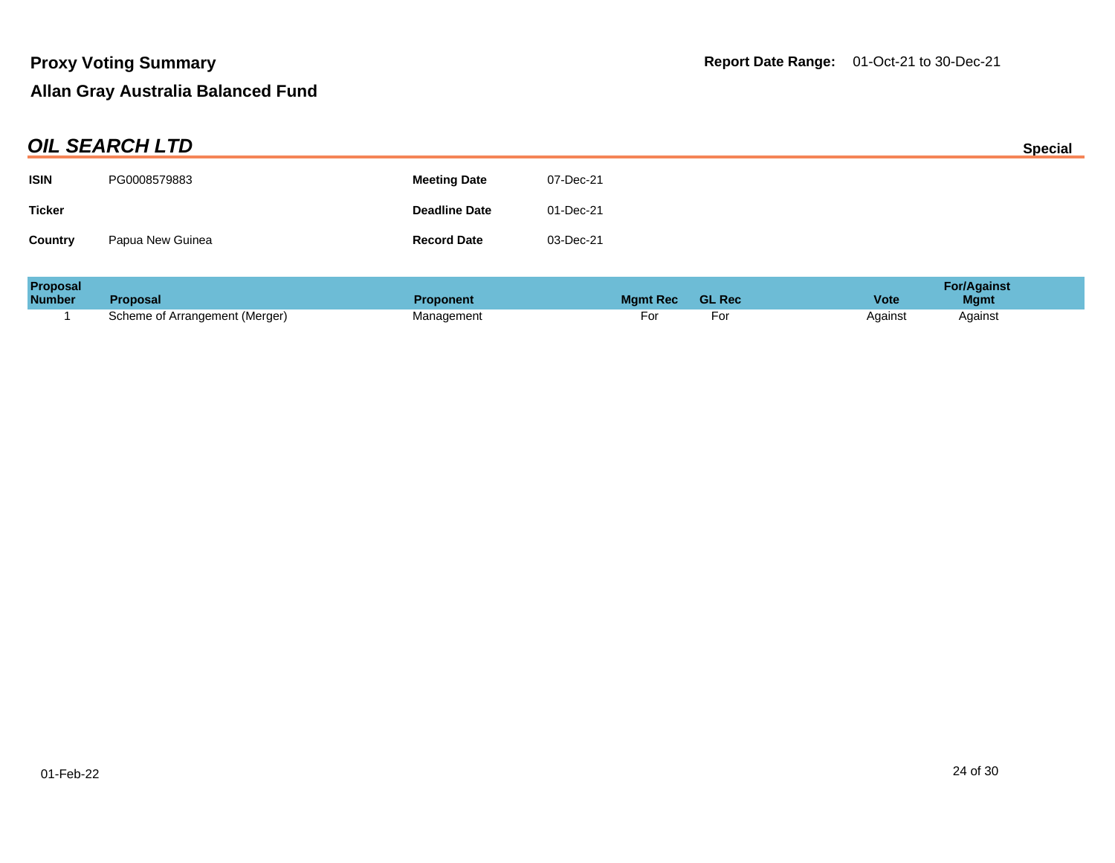| <b>OIL SEARCH LTD</b> |                      |           |                |
|-----------------------|----------------------|-----------|----------------|
| PG0008579883          | <b>Meeting Date</b>  | 07-Dec-21 |                |
|                       | <b>Deadline Date</b> | 01-Dec-21 |                |
| Papua New Guinea      | <b>Record Date</b>   | 03-Dec-21 |                |
|                       |                      |           | <b>Special</b> |

| <b>Proposal</b> |                                |                  |                 |               | <b>For/Against</b>         |
|-----------------|--------------------------------|------------------|-----------------|---------------|----------------------------|
| <b>Number</b>   | <b>Proposal</b>                | <b>Proponent</b> | <b>Mamt Rec</b> | <b>GL Rec</b> | <b>Vote</b><br><b>Mgmt</b> |
|                 | Scheme of Arrangement (Merger) | Management       | וש              |               | Against<br>Against         |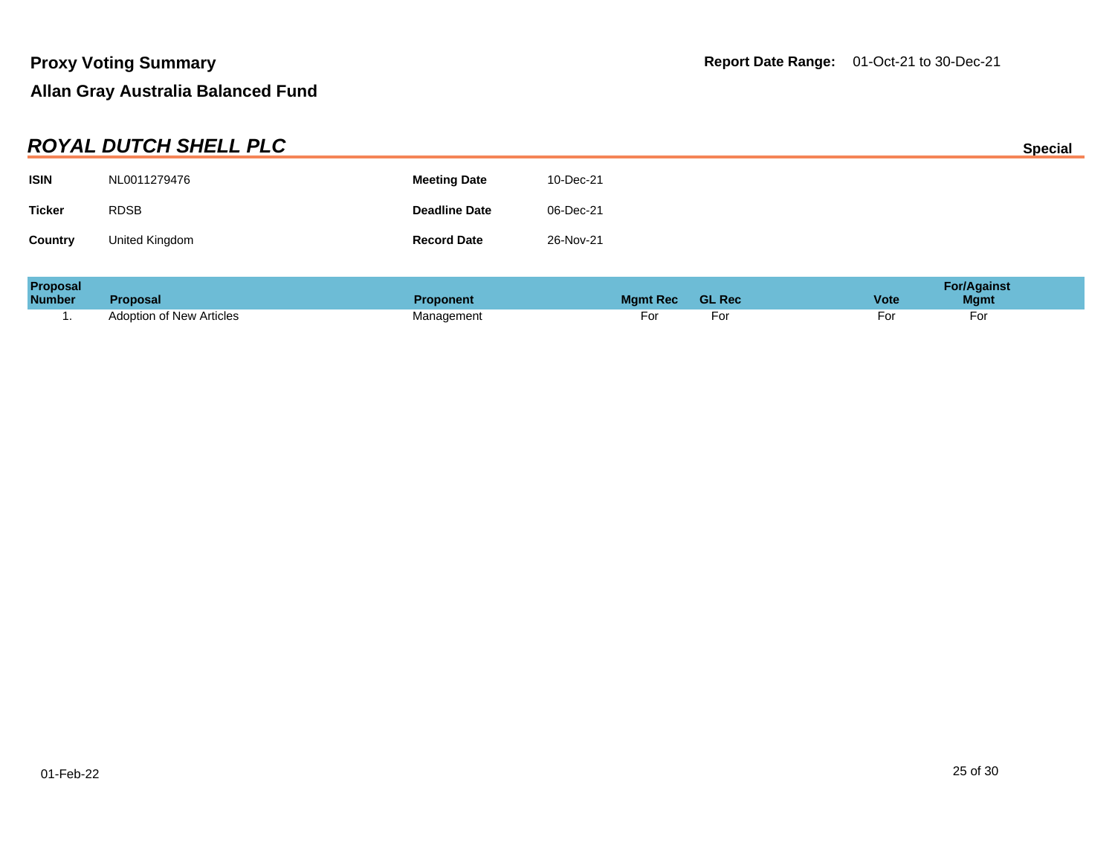|                | <b>ROYAL DUTCH SHELL PLC</b> |                      |           | <b>Special</b> |
|----------------|------------------------------|----------------------|-----------|----------------|
| <b>ISIN</b>    | NL0011279476                 | <b>Meeting Date</b>  | 10-Dec-21 |                |
| <b>Ticker</b>  | <b>RDSB</b>                  | <b>Deadline Date</b> | 06-Dec-21 |                |
| <b>Country</b> | United Kingdom               | <b>Record Date</b>   | 26-Nov-21 |                |
|                |                              |                      |           |                |

| <b>Proposal</b> |                          |                  |                 |               |             | <b>For/Against</b> |
|-----------------|--------------------------|------------------|-----------------|---------------|-------------|--------------------|
| <b>Number</b>   | Proposal                 | <b>Proponent</b> | <b>Mamt Rec</b> | <b>GL Rec</b> | <b>Vote</b> | <b>Mgmt</b>        |
|                 | Adoption of New Articles | Management       | ۰or             | ۰or           |             | For                |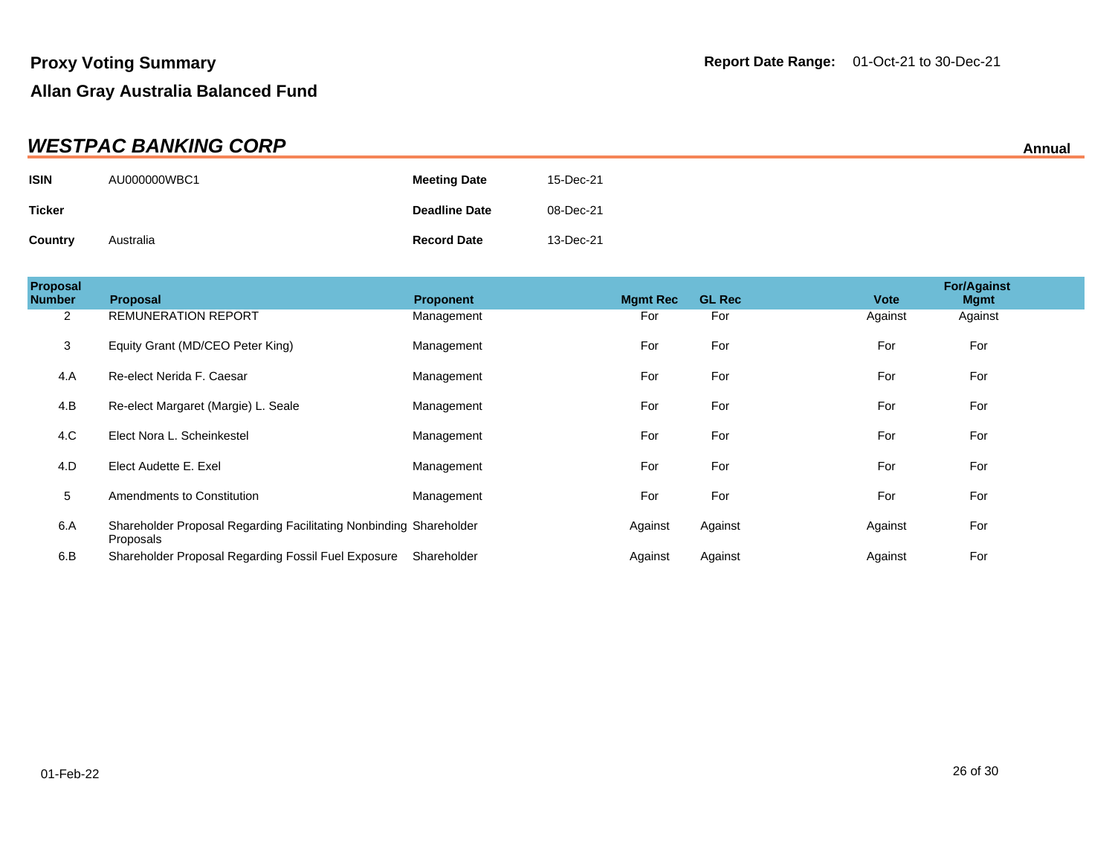| <b>WESTPAC BANKING CORP</b> |              |                      |           |  |
|-----------------------------|--------------|----------------------|-----------|--|
| <b>ISIN</b>                 | AU000000WBC1 | <b>Meeting Date</b>  | 15-Dec-21 |  |
| <b>Ticker</b>               |              | <b>Deadline Date</b> | 08-Dec-21 |  |
| Country                     | Australia    | <b>Record Date</b>   | 13-Dec-21 |  |

| Proposal<br><b>Number</b> | <b>Proposal</b>                                                                 | <b>Proponent</b> | <b>Mgmt Rec</b> | <b>GL Rec</b> | <b>Vote</b> | <b>For/Against</b><br><b>Mgmt</b> |  |
|---------------------------|---------------------------------------------------------------------------------|------------------|-----------------|---------------|-------------|-----------------------------------|--|
| 2                         | <b>REMUNERATION REPORT</b>                                                      | Management       | For             | For           | Against     | Against                           |  |
| $\mathsf 3$               | Equity Grant (MD/CEO Peter King)                                                | Management       | For             | For           | For         | For                               |  |
| 4.A                       | Re-elect Nerida F. Caesar                                                       | Management       | For             | For           | For         | For                               |  |
| 4.B                       | Re-elect Margaret (Margie) L. Seale                                             | Management       | For             | For           | For         | For                               |  |
| 4.C                       | Elect Nora L. Scheinkestel                                                      | Management       | For             | For           | For         | For                               |  |
| 4.D                       | Elect Audette E. Exel                                                           | Management       | For             | For           | For         | For                               |  |
| 5                         | Amendments to Constitution                                                      | Management       | For             | For           | For         | For                               |  |
| 6.A                       | Shareholder Proposal Regarding Facilitating Nonbinding Shareholder<br>Proposals |                  | Against         | Against       | Against     | For                               |  |
| 6.B                       | Shareholder Proposal Regarding Fossil Fuel Exposure                             | Shareholder      | Against         | Against       | Against     | For                               |  |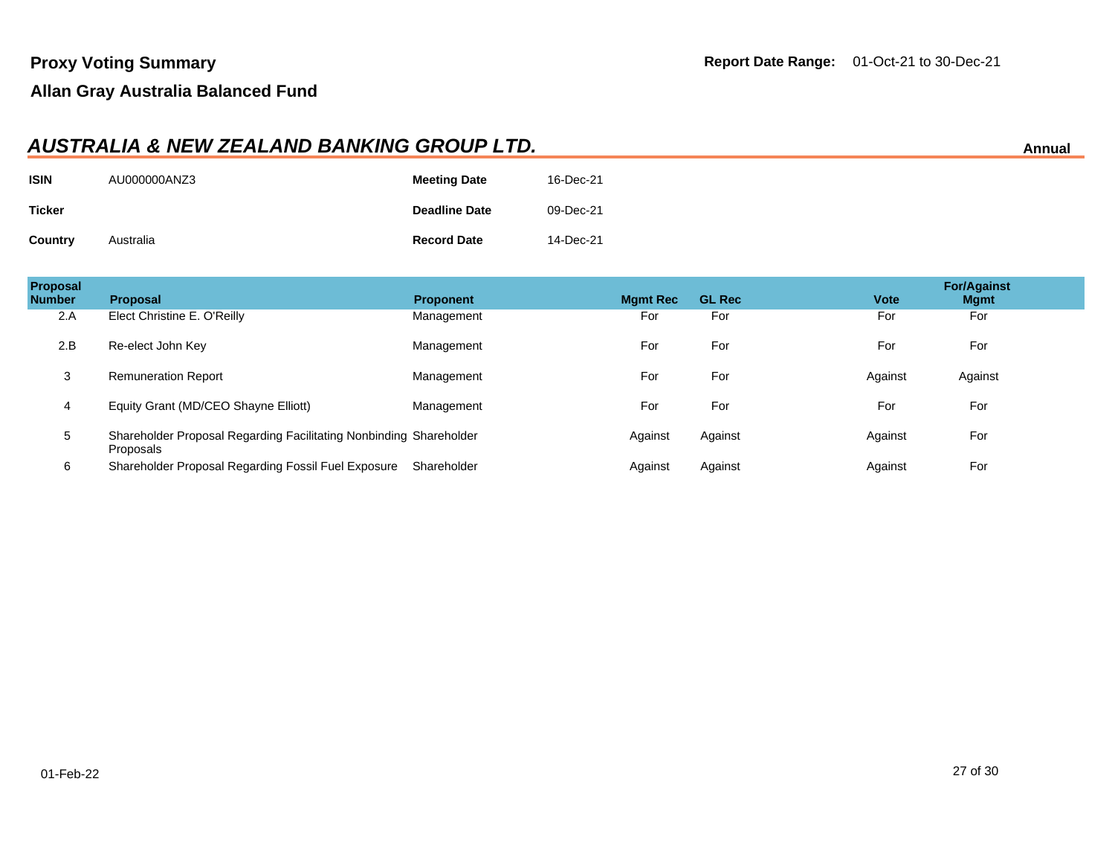#### **AUSTRALIA & NEW ZEALAND BANKING GROUP LTD. Annual**

| <b>ISIN</b>   | AU000000ANZ3 | <b>Meeting Date</b>  | 16-Dec-21 |
|---------------|--------------|----------------------|-----------|
| <b>Ticker</b> |              | <b>Deadline Date</b> | 09-Dec-21 |
| Country       | Australia    | <b>Record Date</b>   | 14-Dec-21 |

| Proposal<br><b>Number</b> | <b>Proposal</b>                                                                 | <b>Proponent</b> | <b>Mgmt Rec</b> | <b>GL Rec</b> | <b>Vote</b> | <b>For/Against</b><br><b>Mgmt</b> |
|---------------------------|---------------------------------------------------------------------------------|------------------|-----------------|---------------|-------------|-----------------------------------|
| 2.A                       | Elect Christine E. O'Reilly                                                     | Management       | For             | For           | For         | For                               |
| 2.B                       | Re-elect John Key                                                               | Management       | For             | For           | For         | For                               |
| 3                         | <b>Remuneration Report</b>                                                      | Management       | For             | For           | Against     | Against                           |
| 4                         | Equity Grant (MD/CEO Shayne Elliott)                                            | Management       | For             | For           | For         | For                               |
| 5                         | Shareholder Proposal Regarding Facilitating Nonbinding Shareholder<br>Proposals |                  | Against         | Against       | Against     | For                               |
| 6                         | Shareholder Proposal Regarding Fossil Fuel Exposure                             | Shareholder      | Against         | Against       | Against     | For                               |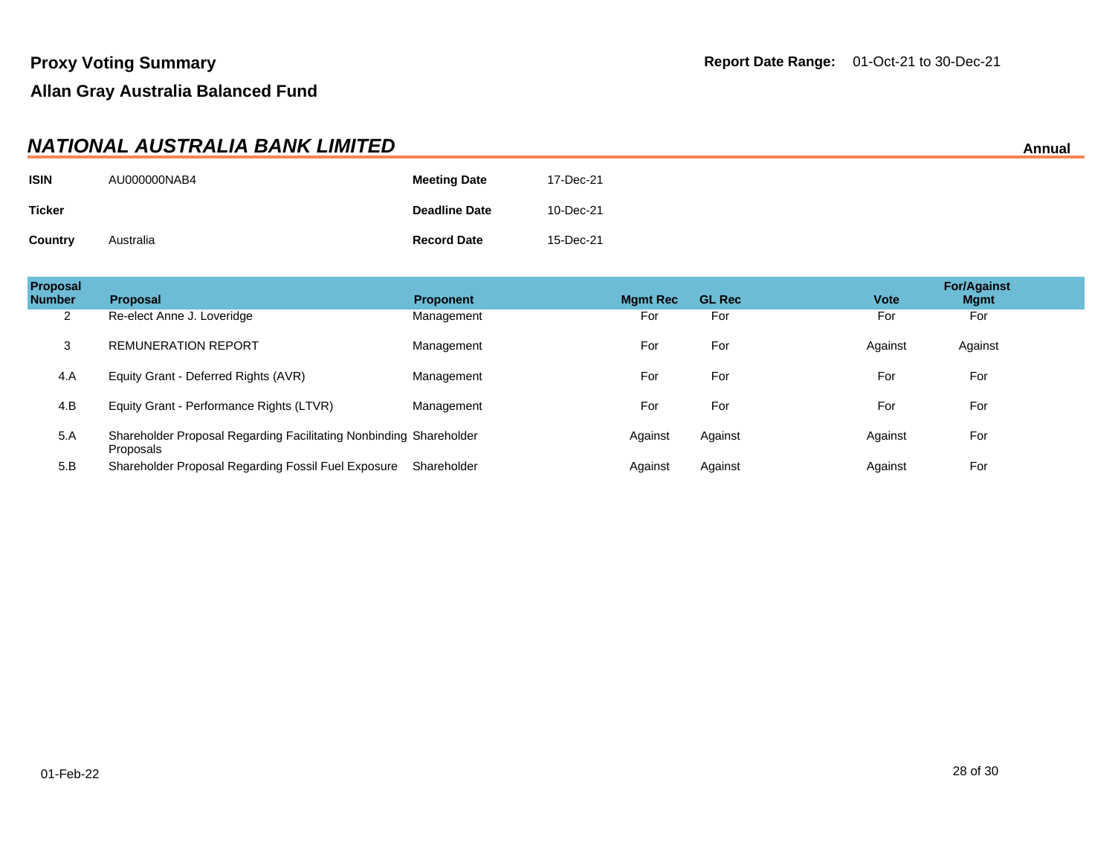#### **NATIONAL AUSTRALIA BANK LIMITED** Annual

| <b>ISIN</b>   | AU000000NAB4 | <b>Meeting Date</b>  | 17-Dec-21 |
|---------------|--------------|----------------------|-----------|
| <b>Ticker</b> |              | <b>Deadline Date</b> | 10-Dec-21 |
| Country       | Australia    | <b>Record Date</b>   | 15-Dec-21 |

| <b>Proposal</b><br><b>Number</b> | Proposal                                                                        | <b>Proponent</b> | <b>Mgmt Rec</b> | <b>GL Rec</b> | <b>Vote</b> | <b>For/Against</b><br><b>Mgmt</b> |
|----------------------------------|---------------------------------------------------------------------------------|------------------|-----------------|---------------|-------------|-----------------------------------|
| 2                                | Re-elect Anne J. Loveridge                                                      | Management       | For             | For           | For         | For                               |
| 3                                | <b>REMUNERATION REPORT</b>                                                      | Management       | For             | For           | Against     | Against                           |
| 4.A                              | Equity Grant - Deferred Rights (AVR)                                            | Management       | For             | For           | For         | For                               |
| 4.B                              | Equity Grant - Performance Rights (LTVR)                                        | Management       | For             | For           | For         | For                               |
| 5.A                              | Shareholder Proposal Regarding Facilitating Nonbinding Shareholder<br>Proposals |                  | Against         | Against       | Against     | For                               |
| 5.B                              | Shareholder Proposal Regarding Fossil Fuel Exposure                             | Shareholder      | Against         | Against       | Against     | For                               |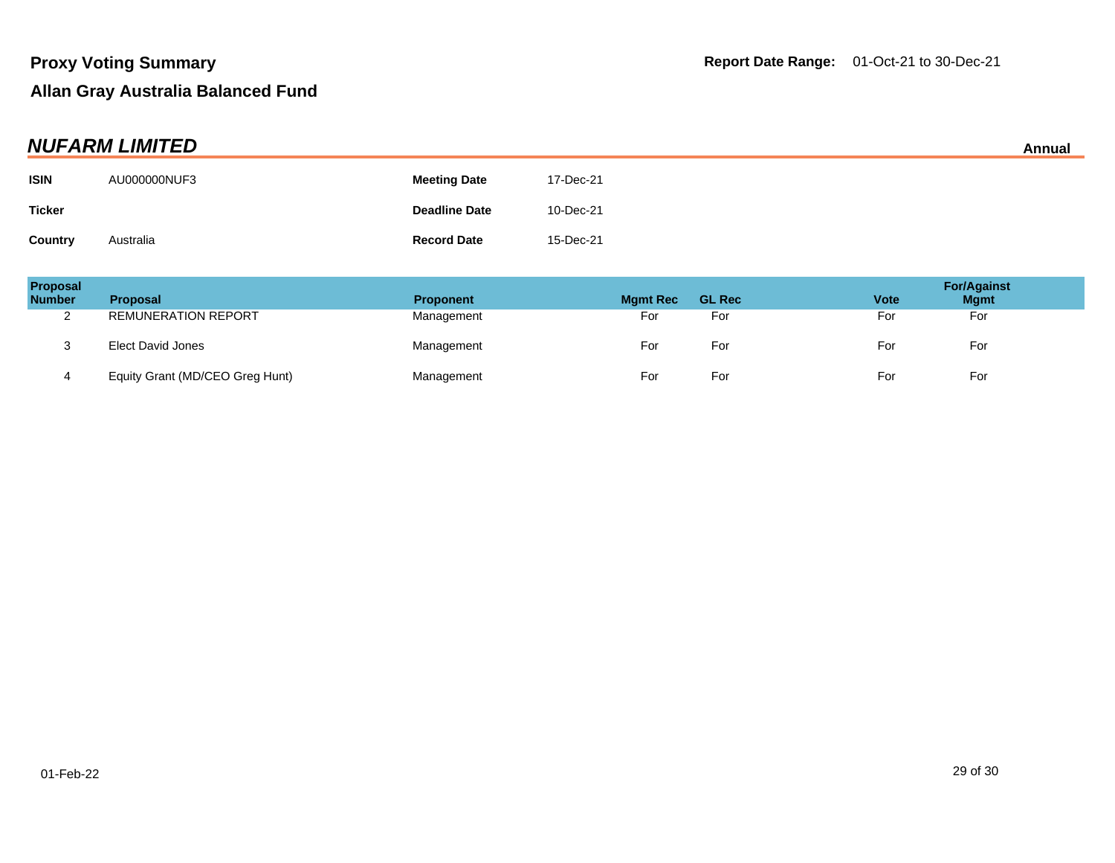| <b>NUFARM LIMITED</b> |              |                      |           |  |
|-----------------------|--------------|----------------------|-----------|--|
| <b>ISIN</b>           | AU000000NUF3 | <b>Meeting Date</b>  | 17-Dec-21 |  |
| <b>Ticker</b>         |              | <b>Deadline Date</b> | 10-Dec-21 |  |
| <b>Country</b>        | Australia    | <b>Record Date</b>   | 15-Dec-21 |  |

| Proposal<br><b>Number</b> | <b>Proposal</b>                 | <b>Proponent</b> | <b>Mgmt Rec</b> | <b>GL Rec</b> | <b>Vote</b> | <b>For/Against</b><br><b>Mgmt</b> |
|---------------------------|---------------------------------|------------------|-----------------|---------------|-------------|-----------------------------------|
| ົ<br><u>_</u>             | <b>REMUNERATION REPORT</b>      | Management       | For             | For           | For         | For                               |
| ు                         | Elect David Jones               | Management       | For             | For           | For         | For                               |
| 4                         | Equity Grant (MD/CEO Greg Hunt) | Management       | For             | For           | For         | For                               |